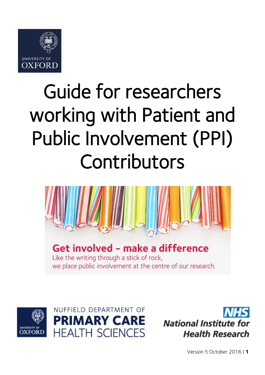

# Guide for researchers working with Patient and Public Involvement (PPI) Contributors



## Get involved - make a difference

Like the writing through a stick of rock, we place public involvement at the centre of our research.





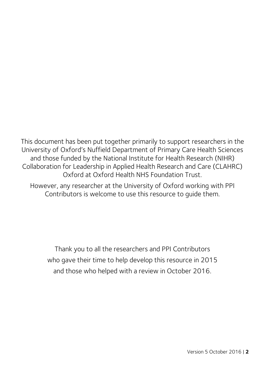This document has been put together primarily to support researchers in the University of Oxford's Nuffield Department of Primary Care Health Sciences and those funded by the National Institute for Health Research (NIHR) Collaboration for Leadership in Applied Health Research and Care (CLAHRC) Oxford at Oxford Health NHS Foundation Trust.

However, any researcher at the University of Oxford working with PPI Contributors is welcome to use this resource to guide them.

Thank you to all the researchers and PPI Contributors who gave their time to help develop this resource in 2015 and those who helped with a review in October 2016.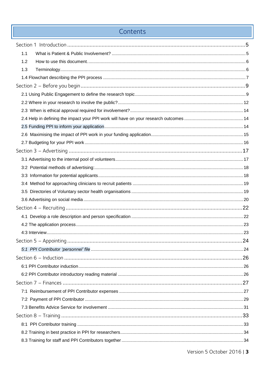## Contents

| 1.1 |  |
|-----|--|
| 1.2 |  |
| 1.3 |  |
|     |  |
|     |  |
|     |  |
|     |  |
|     |  |
|     |  |
|     |  |
|     |  |
|     |  |
|     |  |
|     |  |
|     |  |
|     |  |
|     |  |
|     |  |
|     |  |
|     |  |
|     |  |
|     |  |
|     |  |
|     |  |
|     |  |
|     |  |
|     |  |
|     |  |
|     |  |
|     |  |
|     |  |
|     |  |
|     |  |
|     |  |
|     |  |
|     |  |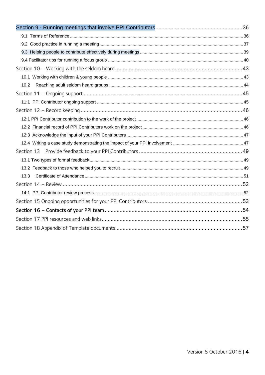| 10.2 |  |
|------|--|
|      |  |
|      |  |
|      |  |
|      |  |
|      |  |
|      |  |
|      |  |
|      |  |
|      |  |
|      |  |
| 13.3 |  |
|      |  |
|      |  |
|      |  |
|      |  |
|      |  |
|      |  |
|      |  |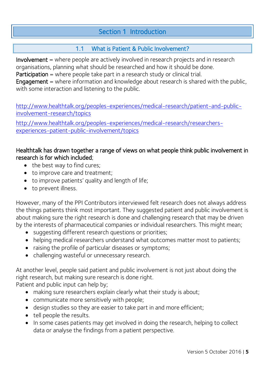## Section 1 Introduction

## 1.1 What is Patient & Public Involvement?

<span id="page-4-1"></span><span id="page-4-0"></span>Involvement = where people are actively involved in research projects and in research organisations, planning what should be researched and how it should be done.

Participation = where people take part in a research study or clinical trial.

**Engagement** = where information and knowledge about research is shared with the public, with some interaction and listening to the public.

[http://www.healthtalk.org/peoples-experiences/medical-research/patient-and-public](http://www.healthtalk.org/peoples-experiences/medical-research/patient-and-public-involvement-research/topics)[involvement-research/topics](http://www.healthtalk.org/peoples-experiences/medical-research/patient-and-public-involvement-research/topics)

[http://www.healthtalk.org/peoples-experiences/medical-research/researchers](http://www.healthtalk.org/peoples-experiences/medical-research/researchers-experiences-patient-public-involvement/topics)[experiences-patient-public-involvement/topics](http://www.healthtalk.org/peoples-experiences/medical-research/researchers-experiences-patient-public-involvement/topics) 

#### Healthtalk has drawn together a range of views on what people think public involvement in research is for which included;

- the best way to find cures;
- to improve care and treatment;
- to improve patients' quality and length of life;
- to prevent illness.

However, many of the PPI Contributors interviewed felt research does not always address the things patients think most important. They suggested patient and public involvement is about making sure the right research is done and challenging research that may be driven by the interests of pharmaceutical companies or individual researchers. This might mean;

- suggesting different research questions or priorities;
- helping medical researchers understand what outcomes matter most to patients;
- raising the profile of particular diseases or symptoms;
- challenging wasteful or unnecessary research.

At another level, people said patient and public involvement is not just about doing the right research, but making sure research is done right.

Patient and public input can help by;

- making sure researchers explain clearly what their study is about;
- communicate more sensitively with people;
- design studies so they are easier to take part in and more efficient;
- tell people the results.
- In some cases patients may get involved in doing the research, helping to collect data or analyse the findings from a patient perspective.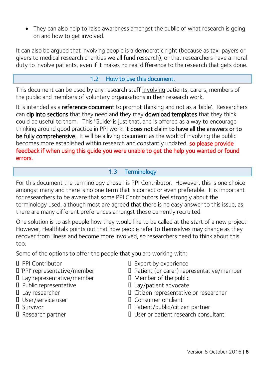• They can also help to raise awareness amongst the public of what research is going on and how to get involved.

It can also be argued that involving people is a democratic right (because as tax-payers or givers to medical research charities we all fund research), or that researchers have a moral duty to involve patients, even if it makes no real difference to the research that gets done.

#### 1.2 How to use this document.

<span id="page-5-0"></span>This document can be used by any research staff involving patients, carers, members of the public and members of voluntary organisations in their research work.

It is intended as a **reference document** to prompt thinking and not as a 'bible'. Researchers can dip into sections that they need and they may download templates that they think could be useful to them. This 'Guide' is just that, and is offered as a way to encourage thinking around good practice in PPI work; it does not claim to have all the answers or to be fully comprehensive. It will be a living document as the work of involving the public becomes more established within research and constantly updated, so please provide feedback if when using this guide you were unable to get the help you wanted or found errors.

#### 1.3 Terminology

<span id="page-5-1"></span>For this document the terminology chosen is PPI Contributor. However, this is one choice amongst many and there is no one term that is correct or even preferable. It is important for researchers to be aware that some PPI Contributors feel strongly about the terminology used, although most are agreed that there is no easy answer to this issue, as there are many different preferences amongst those currently recruited.

One solution is to ask people how they would like to be called at the start of a new project. However, Healthtalk points out that how people refer to themselves may change as they recover from illness and become more involved, so researchers need to think about this too.

Some of the options to offer the people that you are working with;

- 
- 'PPI' representative/member
- $\Box$  Lay representative/member  $\Box$  Member of the public
- D Public representative
- **I** Lay researcher
- Ⅱ User/service user
- **D** Survivor
- D Research partner
- □ PPI Contributor <br>□ Expert by experience
	- I Patient (or carer) representative/member
	-
	- $\Box$  Lay/patient advocate
	- □ Citizen representative or researcher
	- □ Consumer or client
	- Patient/public/citizen partner
	- □ User or patient research consultant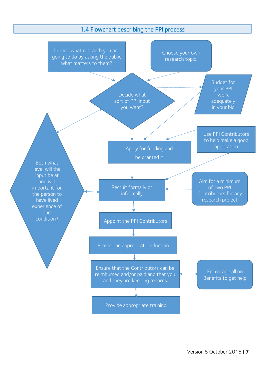#### 1.4 Flowchart describing the PPI process

<span id="page-6-0"></span>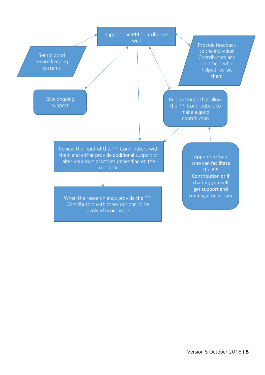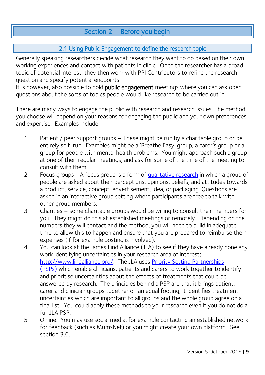## Section 2 – Before you begin

#### 2.1 Using Public Engagement to define the research topic

<span id="page-8-1"></span><span id="page-8-0"></span>Generally speaking researchers decide what research they want to do based on their own working experiences and contact with patients in clinic. Once the researcher has a broad topic of potential interest, they then work with PPI Contributors to refine the research question and specify potential endpoints.

It is however, also possible to hold public engagement meetings where you can ask open questions about the sorts of topics people would like research to be carried out in.

There are many ways to engage the public with research and research issues. The method you choose will depend on your reasons for engaging the public and your own preferences and expertise. Examples include;

- 1 Patient / peer support groups These might be run by a charitable group or be entirely self-run. Examples might be a 'Breathe Easy' group, a carer's group or a group for people with mental health problems. You might approach such a group at one of their regular meetings, and ask for some of the time of the meeting to consult with them.
- 2 Focus groups A focus group is a form of [qualitative research](https://en.wikipedia.org/wiki/Qualitative_research) in which a group of people are asked about their perceptions, opinions, beliefs, and attitudes towards a product, service, concept, advertisement, idea, or packaging. Questions are asked in an interactive group setting where participants are free to talk with other group members.
- 3 Charities some charitable groups would be willing to consult their members for you. They might do this at established meetings or remotely. Depending on the numbers they will contact and the method, you will need to build in adequate time to allow this to happen and ensure that you are prepared to reimburse their expenses (if for example posting is involved).
- 4 You can look at the James Lind Alliance (JLA) to see if they have already done any work identifying uncertainties in your research area of interest; [http://www.lindalliance.org/.](http://www.lindalliance.org/) The JLA uses [Priority Setting Partnerships](http://www.jla.nihr.ac.uk/priority-setting-partnerships/)  [\(PSPs\)](http://www.jla.nihr.ac.uk/priority-setting-partnerships/) which enable clinicians, patients and carers to work together to identify and prioritise uncertainties about the effects of treatments that could be answered by research. The principles behind a PSP are that it brings patient, carer and clinician groups together on an equal footing, it identifies treatment uncertainties which are important to all groups and the whole group agree on a final list. You could apply these methods to your research even if you do not do a full JLA PSP.
- 5 Online. You may use social media, for example contacting an established network for feedback (such as MumsNet) or you might create your own platform. See section 3.6.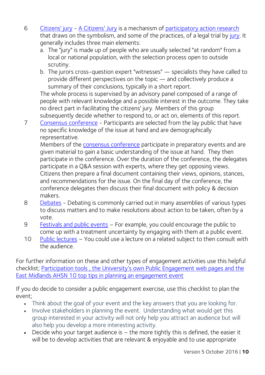- 6 [Citizens' jury](http://www.esrc.ac.uk/funding-and-guidance/impact-toolkit/what-how-and-why/public-engagement/guide/citizens-jury.aspx) [A Citizens' Jury](http://jefferson-center.org/) is a mechanism of [participatory action research](https://en.wikipedia.org/wiki/Participatory_action_research) that draws on the symbolism, and some of the practices, of a legal trial by [jury.](https://en.wikipedia.org/wiki/Jury) It generally includes three main elements:
	- a. The "jury" is made up of people who are usually selected "at random" from a local or national population, with the selection process open to outside scrutiny.
	- b. The jurors cross-question expert "witnesses" specialists they have called to provide different perspectives on the topic — and collectively produce a summary of their conclusions, typically in a short report.

The whole process is supervised by an advisory panel composed of a range of people with relevant knowledge and a possible interest in the outcome. They take no direct part in facilitating the citizens' jury. Members of this group subsequently decide whether to respond to, or act on, elements of this report.

7 [Consensus conference](http://www.esrc.ac.uk/funding-and-guidance/impact-toolkit/what-how-and-why/public-engagement/guide/consensus-conference.aspx) - Participants are selected from the lay public that have no specific knowledge of the issue at hand and are demographically representative.

Members of the [consensus conference](http://www.esrc.ac.uk/public-engagement/public-engagement-guidance/guide-to-public-engagement/choosing-your-activities/consensus-conference/) participate in preparatory events and are given material to gain a basic understanding of the issue at hand. They then participate in the conference. Over the duration of the conference, the delegates participate in a Q&A session with experts, where they get opposing views. Citizens then prepare a final document containing their views, opinions, stances, and recommendations for the issue. On the final day of the conference, the conference delegates then discuss their final document with policy & decision makers.

- 8 [Debates](http://www.esrc.ac.uk/funding-and-guidance/impact-toolkit/what-how-and-why/public-engagement/guide/debates.aspx) Debating is commonly carried out in many assemblies of various types to discuss matters and to make resolutions about action to be taken, often by a vote.
- 9 [Festivals and public events](http://www.esrc.ac.uk/funding-and-guidance/impact-toolkit/what-how-and-why/public-engagement/guide/public-events.aspx) For example, you could encourage the public to come up with a treatment uncertainty by engaging with them at a public event.
- 10 [Public lectures](http://www.esrc.ac.uk/funding-and-guidance/impact-toolkit/what-how-and-why/public-engagement/guide/public-lectures.aspx) You could use a lecture on a related subject to then consult with the audience.

For further information on these and other types of engagement activities use this helpful checklist; [Participation tools](http://www.scottishhealthcouncil.org/toolkit.aspx) , [the University's own Public Engagement web pages](http://www.ox.ac.uk/research/public-engagement/) and the East Midlands AHSN 10 top tips in [planning an engagement event](http://emahsn.org.uk/images/resource-hub/PPI%20documents/Top_tips/Planning_an_Engagement_Event.pdf)

If you do decide to consider a public engagement exercise, use this checklist to plan the event;

- Think about the goal of your event and the key answers that you are looking for.
- Involve stakeholders in planning the event. Understanding what would get this group interested in your activity will not only help you attract an audience but will also help you develop a more interesting activity.
- Decide who your target audience is the more tightly this is defined, the easier it will be to develop activities that are relevant & enjoyable and to use appropriate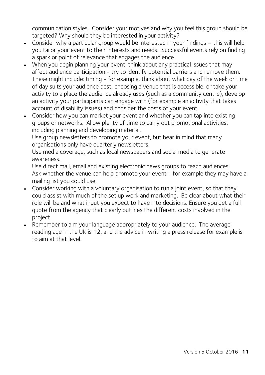communication styles. Consider your motives and why you feel this group should be targeted? Why should they be interested in your activity?

- Consider why a particular group would be interested in your findings this will help you tailor your event to their interests and needs. Successful events rely on finding a spark or point of relevance that engages the audience.
- When you begin planning your event, think about any practical issues that may affect audience participation - try to identify potential barriers and remove them. These might include: timing - for example, think about what day of the week or time of day suits your audience best, choosing a venue that is accessible, or take your activity to a place the audience already uses (such as a community centre), develop an activity your participants can engage with (for example an activity that takes account of disability issues) and consider the costs of your event.
- Consider how you can market your event and whether you can tap into existing groups or networks. Allow plenty of time to carry out promotional activities, including planning and developing material.

Use group newsletters to promote your event, but bear in mind that many organisations only have quarterly newsletters.

Use media coverage, such as local newspapers and social media to generate awareness.

Use direct mail, email and existing electronic news groups to reach audiences. Ask whether the venue can help promote your event - for example they may have a mailing list you could use.

- Consider working with a voluntary organisation to run a joint event, so that they could assist with much of the set up work and marketing. Be clear about what their role will be and what input you expect to have into decisions. Ensure you get a full quote from the agency that clearly outlines the different costs involved in the project.
- Remember to aim your language appropriately to your audience. The average reading age in the UK is 12, and the advice in writing a press release for example is to aim at that level.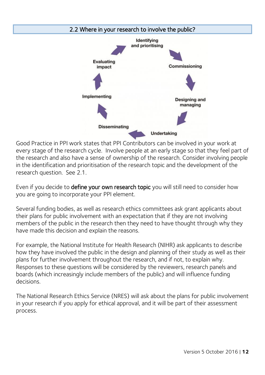<span id="page-11-0"></span>

Good Practice in PPI work states that PPI Contributors can be involved in your work at every stage of the research cycle. Involve people at an early stage so that they feel part of the research and also have a sense of ownership of the research. Consider involving people in the identification and prioritisation of the research topic and the development of the research question. See 2.1.

Even if you decide to **define your own research topic** you will still need to consider how you are going to incorporate your PPI element.

Several funding bodies, as well as research ethics committees ask grant applicants about their plans for public involvement with an expectation that if they are not involving members of the public in the research then they need to have thought through why they have made this decision and explain the reasons.

For example, the National Institute for Health Research (NIHR) ask applicants to describe how they have involved the public in the design and planning of their study as well as their plans for further involvement throughout the research, and if not, to explain why. Responses to these questions will be considered by the reviewers, research panels and boards (which increasingly include members of the public) and will influence funding decisions.

The National Research Ethics Service (NRES) will ask about the plans for public involvement in your research if you apply for ethical approval, and it will be part of their assessment process.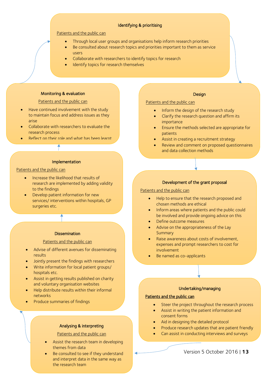#### Identifying & prioritising

#### Patients and the public can

- Through local user groups and organisations help inform research priorities
- Be consulted about research topics and priorities important to them as service users
- Collaborate with researchers to identify topics for research
- Identify topics for research themselves

#### Monitoring & evaluation

#### Patients and the public can

- Have continued involvement with the study to maintain focus and address issues as they arise
- Collaborate with researchers to evaluate the research process
- Reflect on their role and what has been learnt

#### Implementation

#### Patients and the public can

- **•** Increase the likelihood that results of research are implemented by adding validity to the findings
- Develop patient information for new services/ interventions within hospitals, GP surgeries etc.

#### **Dissemination**

#### Patients and the public can

- Advise of different avenues for disseminating results
- Jointly present the findings with researchers
- Write information for local patient groups/ hospitals etc.
- Assist in getting results published on charity and voluntary organisation websites
- Help distribute results within their informal networks
- Produce summaries of findings

#### Analysing & interpreting

Patients and the public can

- Assist the research team in developing themes from data
- Be consulted to see if they understand and interpret data in the same way as the research team

#### **Design**

Patients and the public can

- Inform the design of the research study
- Clarify the research question and affirm its importance
- Ensure the methods selected are appropriate for patients
- Assist in creating a recruitment strategy
- Review and comment on proposed questionnaires and data collection methods

#### Development of the grant proposal

#### Patients and the public can

- Help to ensure that the research proposed and chosen methods are ethical
- Inform areas where patients and the public could be involved and provide ongoing advice on this
- Define outcome measures
- Advise on the appropriateness of the Lay **Summary**
- Raise awareness about costs of involvement, expenses and prompt researchers to cost for involvement
- Be named as co-applicants

#### Undertaking/managing

#### Patients and the public can

- Steer the project throughout the research process
- Assist in writing the patient information and consent forms
- Aid in designing the detailed protocol
- Produce research updates that are patient friendly
- Can assist in conducting interviews and surveys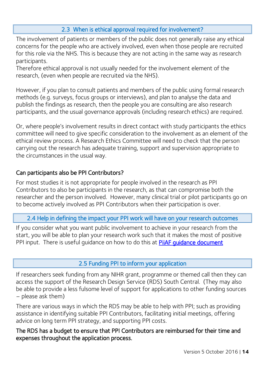#### 2.3 When is ethical approval required for involvement?

<span id="page-13-0"></span>The involvement of patients or members of the public does not generally raise any ethical concerns for the people who are actively involved, even when those people are recruited for this role via the NHS. This is because they are not acting in the same way as research participants.

Therefore ethical approval is not usually needed for the involvement element of the research, (even when people are recruited via the NHS).

However, if you plan to consult patients and members of the public using formal research methods (e.g. surveys, focus groups or interviews), and plan to analyse the data and publish the findings as research, then the people you are consulting are also research participants, and the usual governance approvals (including research ethics) are required.

Or, where people's involvement results in direct contact with study participants the ethics committee will need to give specific consideration to the involvement as an element of the ethical review process. A Research Ethics Committee will need to check that the person carrying out the research has adequate training, support and supervision appropriate to the circumstances in the usual way.

#### Can participants also be PPI Contributors?

For most studies it is not appropriate for people involved in the research as PPI Contributors to also be participants in the research, as that can compromise both the researcher and the person involved. However, many clinical trial or pilot participants go on to become actively involved as PPI Contributors when their participation is over.

<span id="page-13-1"></span>2.4 Help in defining the impact your PPI work will have on your research outcomes

If you consider what you want public involvement to achieve in your research from the start, you will be able to plan your research work such that it makes the most of positive PPI input. There is useful quidance on how to do this at **PiiAF quidance document** 

#### 2.5 Funding PPI to inform your application

<span id="page-13-2"></span>If researchers seek funding from any NIHR grant, programme or themed call then they can access the support of the Research Design Service (RDS) South Central. (They may also be able to provide a less fulsome level of support for applications to other funding sources – please ask them)

There are various ways in which the RDS may be able to help with PPI; such as providing assistance in identifying suitable PPI Contributors, facilitating initial meetings, offering advice on long term PPI strategy, and supporting PPI costs.

The RDS has a budget to ensure that PPI Contributors are reimbursed for their time and expenses throughout the application process.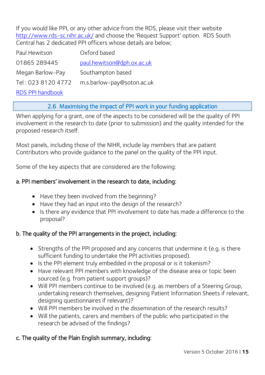If you would like PPI, or any other advice from the RDS, please visit their website <http://www.rds-sc.nihr.ac.uk/> and choose the 'Request Support' option. RDS South Central has 2 dedicated PPI officers whose details are below;

| Paul Hewitson      | Oxford based               |
|--------------------|----------------------------|
| 01865 289445       | paul.hewitson@dph.ox.ac.uk |
| Megan Barlow-Pay   | Southampton based          |
| Tel: 023 8120 4772 | m.s.barlow-pay@soton.ac.uk |
| RDS PPI handbook   |                            |

#### 2.6 Maximising the impact of PPI work in your funding application

<span id="page-14-0"></span>When applying for a grant, one of the aspects to be considered will be the quality of PPI involvement in the research to date (prior to submission) and the quality intended for the proposed research itself.

Most panels, including those of the NIHR, include lay members that are patient Contributors who provide guidance to the panel on the quality of the PPI input.

Some of the key aspects that are considered are the following:

#### a. PPI members' involvement in the research to date, including:

- Have they been involved from the beginning?
- Have they had an input into the design of the research?
- Is there any evidence that PPI involvement to date has made a difference to the proposal?

#### b. The quality of the PPI arrangements in the project, including:

- Strengths of the PPI proposed and any concerns that undermine it (e.g. is there sufficient funding to undertake the PPI activities proposed).
- Is the PPI element truly embedded in the proposal or is it tokenism?
- Have relevant PPI members with knowledge of the disease area or topic been sourced (e.g. from patient support groups)?
- Will PPI members continue to be involved (e.g. as members of a Steering Group, undertaking research themselves, designing Patient Information Sheets if relevant, designing questionnaires if relevant)?
- Will PPI members be involved in the dissemination of the research results?
- Will the patients, carers and members of the public who participated in the research be advised of the findings?

#### c. The quality of the Plain English summary, including: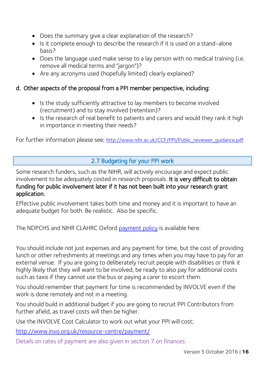- Does the summary give a clear explanation of the research?
- Is it complete enough to describe the research if it is used on a stand-alone basis?
- Does the language used make sense to a lay person with no medical training (i.e. remove all medical terms and "jargon")?
- Are any acronyms used (hopefully limited) clearly explained?

#### d. Other aspects of the proposal from a PPI member perspective, including:

- Is the study sufficiently attractive to lay members to become involved (recruitment) and to stay involved (retention)?
- Is the research of real benefit to patients and carers and would they rank it high in importance in meeting their needs?

<span id="page-15-0"></span>For further information please see; http://www.nihr.ac.uk/CCF/PPI/Public\_reviewer\_quidance.pdf

## 2.7 Budgeting for your PPI work

Some research funders, such as the NIHR, will actively encourage and expect public involvement to be adequately costed in research proposals. It is very difficult to obtain funding for public involvement later if it has not been built into your research grant application.

Effective public involvement takes both time and money and it is important to have an adequate budget for both. Be realistic. Also be specific.

The NDPCHS and NIHR CLAHRC Oxford [payment policy](https://www.phc.ox.ac.uk/get-involved/ppi/information-for-researchers/multi-agency-ppiee-policy-for-expenses-and-payments-v9.docx) is available here.

You should include not just expenses and any payment for time, but the cost of providing lunch or other refreshments at meetings and any times when you may have to pay for an external venue. If you are going to deliberately recruit people with disabilities or think it highly likely that they will want to be involved, be ready to also pay for additional costs such as taxis if they cannot use the bus or paying a carer to escort them.

You should remember that payment for time is recommended by INVOLVE even if the work is done remotely and not in a meeting.

You should build in additional budget if you are going to recruit PPI Contributors from further afield, as travel costs will then be higher.

Use the INVOLVE Cost Calculator to work out what your PPI will cost;

<http://www.invo.org.uk/resource-centre/payment/>

Details on rates of payment are also given in section 7 on finances.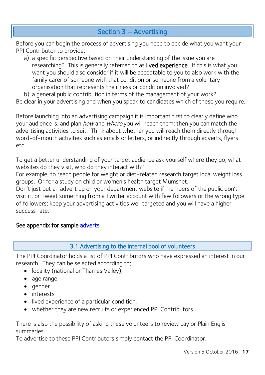## Section 3 – Advertising

<span id="page-16-0"></span>Before you can begin the process of advertising you need to decide what you want your PPI Contributor to provide;

a) a specific perspective based on their understanding of the issue you are researching? This is generally referred to as lived experience. If this is what you want you should also consider if it will be acceptable to you to also work with the family carer of someone with that condition or someone from a voluntary organisation that represents the illness or condition involved?

b) a general public contribution in terms of the management of your work? Be clear in your advertising and when you speak to candidates which of these you require.

Before launching into an advertising campaign it is important first to clearly define who your audience is, and plan *how* and where you will reach them; then you can match the advertising activities to suit. Think about whether you will reach them directly through word-of-mouth activities such as emails or letters, or indirectly through adverts, flyers etc.

To get a better understanding of your target audience ask yourself where they go, what websites do they visit, who do they interact with?

For example, to reach people for weight or diet-related research target local weight loss groups. Or for a study on child or women's health target Mumsnet.

Don't just put an advert up on your department website if members of the public don't visit it, or Tweet something from a Twitter account with few followers or the wrong type of followers; keep your advertising activities well targeted and you will have a higher success rate.

#### <span id="page-16-1"></span>See appendix for sample adverts

#### 3.1 Advertising to the internal pool of volunteers

The PPI Coordinator holds a list of PPI Contributors who have expressed an interest in our research. They can be selected according to;

- locality (national or Thames Valley),
- age range
- gender
- interests
- lived experience of a particular condition.
- whether they are new recruits or experienced PPI Contributors.

There is also the possibility of asking these volunteers to review Lay or Plain English summaries.

To advertise to these PPI Contributors simply contact the PPI Coordinator.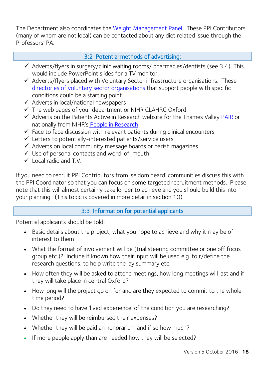The Department also coordinates the [Weight Management Panel.](https://www.phc.ox.ac.uk/get-involved/ppi/current-opportunities/weighing-up-the-issues-participants-panel) These PPI Contributors (many of whom are not local) can be contacted about any diet related issue through the Professors' PA.

#### 3:2 Potential methods of advertising:

- <span id="page-17-0"></span> $\checkmark$  Adverts/flyers in surgery/clinic waiting rooms/ pharmacies/dentists (see 3.4) This would include PowerPoint slides for a TV monitor.
- $\checkmark$  Adverts/flyers placed with Voluntary Sector infrastructure organisations. These [directories of voluntary sector organisations](https://www.phc.ox.ac.uk/get-involved/ppi/information-for-researchers/directories.docx) that support people with specific conditions could be a starting point.
- $\checkmark$  Adverts in local/national newspapers
- $\checkmark$  The web pages of your department or NIHR CLAHRC Oxford
- $\checkmark$  Adverts on the Patients Active in Research website for the Thames Valley [PAIR](http://patientsactiveinresearch.org.uk/) or nationally from NIHR's [People in Research](http://www.peopleinresearch.org/)
- $\checkmark$  Face to face discussion with relevant patients during clinical encounters
- $\checkmark$  Letters to potentially-interested patients/service users
- $\checkmark$  Adverts on local community message boards or parish magazines
- Use of personal contacts and word-of-mouth
- $\checkmark$  Local radio and T.V.

If you need to recruit PPI Contributors from 'seldom heard' communities discuss this with the PPI Coordinator so that you can focus on some targeted recruitment methods. Please note that this will almost certainly take longer to achieve and you should build this into your planning. (This topic is covered in more detail in section 10)

#### 3:3 Information for potential applicants

<span id="page-17-1"></span>Potential applicants should be told;

- Basic details about the project, what you hope to achieve and why it may be of interest to them
- What the format of involvement will be (trial steering committee or one off focus group etc.)? Include if known how their input will be used e.g. to r/define the research questions, to help write the lay summary etc.
- How often they will be asked to attend meetings, how long meetings will last and if they will take place in central Oxford?
- How long will the project go on for and are they expected to commit to the whole time period?
- Do they need to have 'lived experience' of the condition you are researching?
- Whether they will be reimbursed their expenses?
- Whether they will be paid an honorarium and if so how much?
- If more people apply than are needed how they will be selected?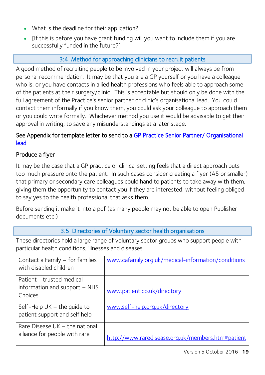- What is the deadline for their application?
- If this is before you have grant funding will you want to include them if you are successfully funded in the future?]

## 3:4 Method for approaching clinicians to recruit patients

<span id="page-18-0"></span>A good method of recruiting people to be involved in your project will always be from personal recommendation. It may be that you are a GP yourself or you have a colleague who is, or you have contacts in allied health professions who feels able to approach some of the patients at their surgery/clinic. This is acceptable but should only be done with the full agreement of the Practice's senior partner or clinic's organisational lead. You could contact them informally if you know them, you could ask your colleague to approach them or you could write formally. Whichever method you use it would be advisable to get their approval in writing, to save any misunderstandings at a later stage.

#### See Appendix for template letter to send to a [GP Practice Senior Partner/ Organisational](#page-59-0)  [lead](#page-59-0)

## Produce a flyer

It may be the case that a GP practice or clinical setting feels that a direct approach puts too much pressure onto the patient. In such cases consider creating a flyer (A5 or smaller) that primary or secondary care colleagues could hand to patients to take away with them, giving them the opportunity to contact you if they are interested, without feeling obliged to say yes to the health professional that asks them.

Before sending it make it into a pdf (as many people may not be able to open Publisher documents etc.)

#### 3.5 Directories of Voluntary sector health organisations

<span id="page-18-1"></span>These directories hold a large range of voluntary sector groups who support people with particular health conditions, illnesses and diseases.

| Contact a Family – for families | www.cafamily.org.uk/medical-information/conditions |
|---------------------------------|----------------------------------------------------|
| with disabled children          |                                                    |
| Patient - trusted medical       |                                                    |
| information and support - NHS   | www.patient.co.uk/directory                        |
| Choices                         |                                                    |
| Self-Help $UK$ – the quide to   | www.self-help.org.uk/directory                     |
| patient support and self help   |                                                    |
| Rare Disease UK - the national  |                                                    |
| alliance for people with rare   | http://www.raredisease.org.uk/members.htm#patient  |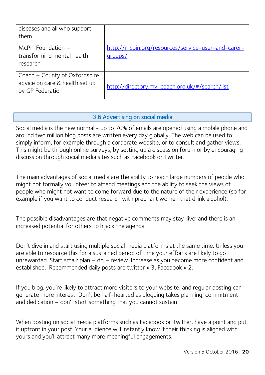| diseases and all who support<br>them                                                |                                                               |
|-------------------------------------------------------------------------------------|---------------------------------------------------------------|
| McPin Foundation $-$<br>transforming mental health<br>research                      | http://mcpin.org/resources/service-user-and-carer-<br>groups/ |
| Coach - County of Oxfordshire<br>advice on care & health set up<br>by GP Federation | http://directory.my-coach.org.uk/#/search/list                |

#### 3.6 Advertising on social media

<span id="page-19-0"></span>Social media is the new normal - up to 70% of emails are opened using a mobile phone and around two million blog posts are written every day globally. The web can be used to simply inform, for example through a corporate website, or to consult and gather views. This might be through online surveys, by setting up a discussion forum or by encouraging discussion through social media sites such as Facebook or Twitter.

The main advantages of social media are the ability to reach large numbers of people who might not formally volunteer to attend meetings and the ability to seek the views of people who might not want to come forward due to the nature of their experience (so for example if you want to conduct research with pregnant women that drink alcohol).

The possible disadvantages are that negative comments may stay 'live' and there is an increased potential for others to hijack the agenda.

Don't dive in and start using multiple social media platforms at the same time. Unless you are able to resource this for a sustained period of time your efforts are likely to go unrewarded. Start small: plan – do – review. Increase as you become more confident and established. Recommended daily posts are twitter x 3, Facebook x 2.

If you blog, you're likely to attract more visitors to your website, and regular posting can generate more interest. Don't be half-hearted as blogging takes planning, commitment and dedication – don't start something that you cannot sustain

When posting on social media platforms such as Facebook or Twitter, have a point and put it upfront in your post. Your audience will instantly know if their thinking is aligned with yours and you'll attract many more meaningful engagements.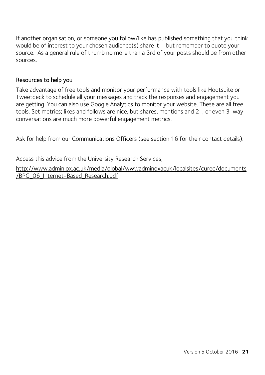If another organisation, or someone you follow/like has published something that you think would be of interest to your chosen audience(s) share it – but remember to quote your source. As a general rule of thumb no more than a 3rd of your posts should be from other sources.

#### Resources to help you

Take advantage of free tools and monitor your performance with tools like Hootsuite or Tweetdeck to schedule all your messages and track the responses and engagement you are getting. You can also use Google Analytics to monitor your website. These are all free tools. Set metrics; likes and follows are nice, but shares, mentions and 2-, or even 3-way conversations are much more powerful engagement metrics.

Ask for help from our Communications Officers (see section 16 for their contact details).

Access this advice from the University Research Services;

[http://www.admin.ox.ac.uk/media/global/wwwadminoxacuk/localsites/curec/documents](http://www.admin.ox.ac.uk/media/global/wwwadminoxacuk/localsites/curec/documents/BPG_06_Internet-Based_Research.pdf) [/BPG\\_06\\_Internet-Based\\_Research.pdf](http://www.admin.ox.ac.uk/media/global/wwwadminoxacuk/localsites/curec/documents/BPG_06_Internet-Based_Research.pdf)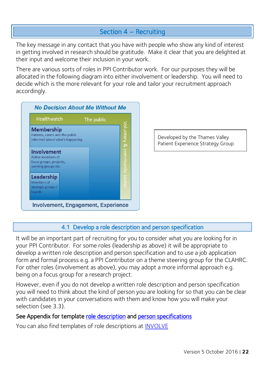## Section 4 – Recruiting

<span id="page-21-0"></span>The key message in any contact that you have with people who show any kind of interest in getting involved in research should be gratitude. Make it clear that you are delighted at their input and welcome their inclusion in your work.

There are various sorts of roles in PPI Contributor work. For our purposes they will be allocated in the following diagram into either involvement or leadership. You will need to decide which is the more relevant for your role and tailor your recruitment approach accordingly.



Developed by the Thames Valley Patient Experience Strategy Group

#### 4.1 Develop a role description and person specification

<span id="page-21-1"></span>It will be an important part of recruiting for you to consider what you are looking for in your PPI Contributor. For some roles (leadership as above) it will be appropriate to develop a written role description and person specification and to use a job application form and formal process e.g. a PPI Contributor on a theme steering group for the CLAHRC. For other roles (involvement as above), you may adopt a more informal approach e.g. being on a focus group for a research project.

However, even if you do not develop a written role description and person specification you will need to think about the kind of person you are looking for so that you can be clear with candidates in your conversations with them and know how you will make your selection (see 3.3).

#### See Appendix for template [role description](#page-61-0) and person specifications

You can also find templates of role descriptions at [INVOLVE](http://www.invo.org.uk/resource-for-researchers-templates/)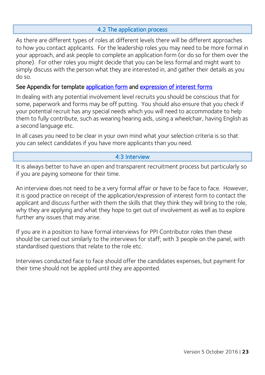#### 4.2 The application process

<span id="page-22-0"></span>As there are different types of roles at different levels there will be different approaches to how you contact applicants. For the leadership roles you may need to be more formal in your approach, and ask people to complete an application form (or do so for them over the phone). For other roles you might decide that you can be less formal and might want to simply discuss with the person what they are interested in, and gather their details as you do so.

#### See Appendix for template [application form](#page-64-0) and expression of interest forms

In dealing with any potential involvement level recruits you should be conscious that for some, paperwork and forms may be off putting. You should also ensure that you check if your potential recruit has any special needs which you will need to accommodate to help them to fully contribute, such as wearing hearing aids, using a wheelchair, having English as a second language etc.

In all cases you need to be clear in your own mind what your selection criteria is so that you can select candidates if you have more applicants than you need.

#### 4:3 Interview

<span id="page-22-1"></span>It is always better to have an open and transparent recruitment process but particularly so if you are paying someone for their time.

An interview does not need to be a very formal affair or have to be face to face. However, it is good practice on receipt of the application/expression of interest form to contact the applicant and discuss further with them the skills that they think they will bring to the role, why they are applying and what they hope to get out of involvement as well as to explore further any issues that may arise.

If you are in a position to have formal interviews for PPI Contributor roles then these should be carried out similarly to the interviews for staff; with 3 people on the panel, with standardised questions that relate to the role etc.

Interviews conducted face to face should offer the candidates expenses, but payment for their time should not be applied until they are appointed.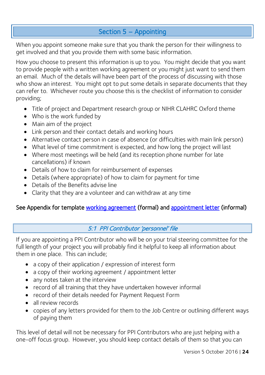## Section 5 – Appointing

<span id="page-23-0"></span>When you appoint someone make sure that you thank the person for their willingness to get involved and that you provide them with some basic information.

How you choose to present this information is up to you. You might decide that you want to provide people with a written working agreement or you might just want to send them an email. Much of the details will have been part of the process of discussing with those who show an interest. You might opt to put some details in separate documents that they can refer to. Whichever route you choose this is the checklist of information to consider providing;

- Title of project and Department research group or NIHR CLAHRC Oxford theme
- Who is the work funded by
- Main aim of the project
- Link person and their contact details and working hours
- Alternative contact person in case of absence (or difficulties with main link person)
- What level of time commitment is expected, and how long the project will last
- Where most meetings will be held (and its reception phone number for late cancellations) if known
- Details of how to claim for reimbursement of expenses
- Details (where appropriate) of how to claim for payment for time
- Details of the Benefits advise line
- Clarity that they are a volunteer and can withdraw at any time

## <span id="page-23-1"></span>See Appendix for template [working agreement](#page-68-0) (formal) and [appointment letter](#page-72-0) (informal)

#### 5:1 PPI Contributor 'personnel' file

If you are appointing a PPI Contributor who will be on your trial steering committee for the full length of your project you will probably find it helpful to keep all information about them in one place. This can include;

- a copy of their application / expression of interest form
- a copy of their working agreement / appointment letter
- any notes taken at the interview
- record of all training that they have undertaken however informal
- record of their details needed for Payment Request Form
- all review records
- copies of any letters provided for them to the Job Centre or outlining different ways of paying them

This level of detail will not be necessary for PPI Contributors who are just helping with a one-off focus group. However, you should keep contact details of them so that you can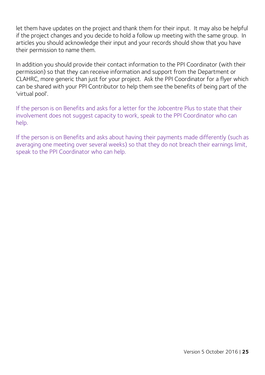let them have updates on the project and thank them for their input. It may also be helpful if the project changes and you decide to hold a follow up meeting with the same group. In articles you should acknowledge their input and your records should show that you have their permission to name them.

In addition you should provide their contact information to the PPI Coordinator (with their permission) so that they can receive information and support from the Department or CLAHRC, more generic than just for your project. Ask the PPI Coordinator for a flyer which can be shared with your PPI Contributor to help them see the benefits of being part of the 'virtual pool'.

If the person is on Benefits and asks for a letter for the Jobcentre Plus to state that their involvement does not suggest capacity to work, speak to the PPI Coordinator who can help.

If the person is on Benefits and asks about having their payments made differently (such as averaging one meeting over several weeks) so that they do not breach their earnings limit, speak to the PPI Coordinator who can help.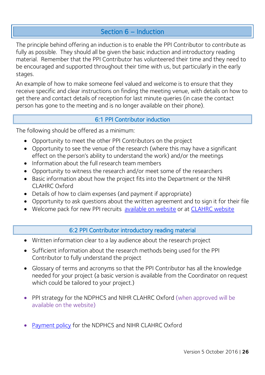## Section 6 – Induction

<span id="page-25-0"></span>The principle behind offering an induction is to enable the PPI Contributor to contribute as fully as possible. They should all be given the basic induction and introductory reading material. Remember that the PPI Contributor has volunteered their time and they need to be encouraged and supported throughout their time with us, but particularly in the early stages.

An example of how to make someone feel valued and welcome is to ensure that they receive specific and clear instructions on finding the meeting venue, with details on how to get there and contact details of reception for last minute queries (in case the contact person has gone to the meeting and is no longer available on their phone).

#### 6:1 PPI Contributor induction

<span id="page-25-1"></span>The following should be offered as a minimum:

- Opportunity to meet the other PPI Contributors on the project
- Opportunity to see the venue of the research (where this may have a significant effect on the person's ability to understand the work) and/or the meetings
- Information about the full research team members
- Opportunity to witness the research and/or meet some of the researchers
- Basic information about how the project fits into the Department or the NIHR CLAHRC Oxford
- Details of how to claim expenses (and payment if appropriate)
- Opportunity to ask questions about the written agreement and to sign it for their file
- <span id="page-25-2"></span>Welcome pack for new PPI recruits [available on website](https://www.phc.ox.ac.uk/get-involved/ppi/information-for-researchers/ppi-welcome-pack.pdf) or at [CLAHRC website](https://www.clahrc-oxford.nihr.ac.uk/get-involved/ppi/information-for-researchers)

#### 6:2 PPI Contributor introductory reading material

- Written information clear to a lay audience about the research project
- Sufficient information about the research methods being used for the PPI Contributor to fully understand the project
- Glossary of terms and acronyms so that the PPI Contributor has all the knowledge needed for your project (a basic version is available from the Coordinator on request which could be tailored to your project.)
- PPI strategy for the NDPHCS and NIHR CLAHRC Oxford (when approved will be available on the website)
- [Payment policy](http://www.clahrc-oxford.nihr.ac.uk/get-involved/ppi/information-for-researchers/multi-agency-ppiee-policy-for-expenses-and-payments-v9.docx) for the NDPHCS and NIHR CLAHRC Oxford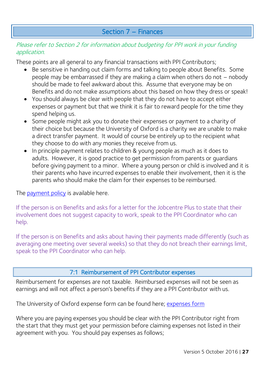## Section 7 – Finances

#### <span id="page-26-0"></span>Please refer to Section 2 for information about budgeting for PPI work in your funding application.

These points are all general to any financial transactions with PPI Contributors;

- Be sensitive in handing out claim forms and talking to people about Benefits. Some people may be embarrassed if they are making a claim when others do not – nobody should be made to feel awkward about this. Assume that everyone may be on Benefits and do not make assumptions about this based on how they dress or speak!
- You should always be clear with people that they do not have to accept either expenses or payment but that we think it is fair to reward people for the time they spend helping us.
- Some people might ask you to donate their expenses or payment to a charity of their choice but because the University of Oxford is a charity we are unable to make a direct transfer payment. It would of course be entirely up to the recipient what they choose to do with any monies they receive from us.
- In principle payment relates to children & young people as much as it does to adults. However, it is good practice to get permission from parents or guardians before giving payment to a minor. Where a young person or child is involved and it is their parents who have incurred expenses to enable their involvement, then it is the parents who should make the claim for their expenses to be reimbursed.

The [payment policy](https://www.phc.ox.ac.uk/get-involved/ppi/patient-and-public-involvement-ppi/information-for-researchers) is available here.

If the person is on Benefits and asks for a letter for the Jobcentre Plus to state that their involvement does not suggest capacity to work, speak to the PPI Coordinator who can help.

If the person is on Benefits and asks about having their payments made differently (such as averaging one meeting over several weeks) so that they do not breach their earnings limit, speak to the PPI Coordinator who can help.

#### 7:1 Reimbursement of PPI Contributor expenses

<span id="page-26-1"></span>Reimbursement for expenses are not taxable. Reimbursed expenses will not be seen as earnings and will not affect a person's benefits if they are a PPI Contributor with us.

The University of Oxford expense form can be found here; [expenses form](http://www.admin.ox.ac.uk/finance/epp/forms/expensesandrelocation/)

Where you are paying expenses you should be clear with the PPI Contributor right from the start that they must get your permission before claiming expenses not listed in their agreement with you. You should pay expenses as follows;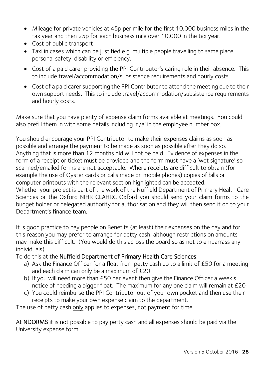- Mileage for private vehicles at 45p per mile for the first 10,000 business miles in the tax year and then 25p for each business mile over 10,000 in the tax year.
- Cost of public transport
- Taxi in cases which can be justified e.g. multiple people travelling to same place, personal safety, disability or efficiency.
- Cost of a paid carer providing the PPI Contributor's caring role in their absence. This to include travel/accommodation/subsistence requirements and hourly costs.
- Cost of a paid carer supporting the PPI Contributor to attend the meeting due to their own support needs. This to include travel/accommodation/subsistence requirements and hourly costs.

Make sure that you have plenty of expense claim forms available at meetings. You could also prefill them in with some details including 'n/a' in the employee number box.

You should encourage your PPI Contributor to make their expenses claims as soon as possible and arrange the payment to be made as soon as possible after they do so. Anything that is more than 12 months old will not be paid. Evidence of expenses in the form of a receipt or ticket must be provided and the form must have a 'wet signature' so scanned/emailed forms are not acceptable. Where receipts are difficult to obtain (for example the use of Oyster cards or calls made on mobile phones) copies of bills or computer printouts with the relevant section highlighted can be accepted. Whether your project is part of the work of the Nuffield Department of Primary Health Care Sciences or the Oxford NIHR CLAHRC Oxford you should send your claim forms to the budget holder or delegated authority for authorisation and they will then send it on to your Department's finance team.

It is good practice to pay people on Benefits (at least) their expenses on the day and for this reason you may prefer to arrange for petty cash, although restrictions on amounts may make this difficult. (You would do this across the board so as not to embarrass any individuals)

To do this at the Nuffield Department of Primary Health Care Sciences:

- a) Ask the Finance Officer for a float from petty cash up to a limit of £50 for a meeting and each claim can only be a maximum of £20
- b) If you will need more than £50 per event then give the Finance Officer a week's notice of needing a bigger float. The maximum for any one claim will remain at £20
- c) You could reimburse the PPI Contributor out of your own pocket and then use their receipts to make your own expense claim to the department.

The use of petty cash only applies to expenses, not payment for time.

At NDORMS it is not possible to pay petty cash and all expenses should be paid via the University expense form.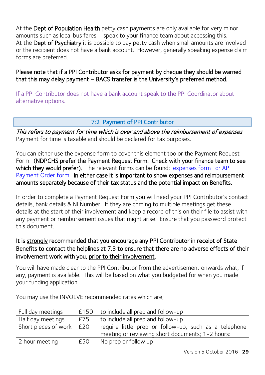At the Dept of Population Health petty cash payments are only available for very minor amounts such as local bus fares – speak to your finance team about accessing this. At the Dept of Psychiatry it is possible to pay petty cash when small amounts are involved or the recipient does not have a bank account. However, generally speaking expense claim forms are preferred.

Please note that if a PPI Contributor asks for payment by cheque they should be warned that this may delay payment – BACS transfer is the University's preferred method.

If a PPI Contributor does not have a bank account speak to the PPI Coordinator about alternative options.

#### 7:2 Payment of PPI Contributor

<span id="page-28-0"></span>This refers to payment for time which is over and above the reimbursement of expenses Payment for time is taxable and should be declared for tax purposes.

You can either use the expense form to cover this element too or the Payment Request Form. (NDPCHS prefer the Payment Request Form. Check with your finance team to see which they would prefer). The relevant forms can be found; [expenses form](http://www.admin.ox.ac.uk/finance/epp/forms/expensesandrelocation/) or AP [Payment Order form.](https://www.admin.ox.ac.uk/finance/ppt/forms/payments/) In either case it is important to show expenses and reimbursement amounts separately because of their tax status and the potential impact on Benefits.

In order to complete a Payment Request Form you will need your PPI Contributor's contact details, bank details & NI Number. If they are coming to multiple meetings get these details at the start of their involvement and keep a record of this on their file to assist with any payment or reimbursement issues that might arise. Ensure that you password protect this document.

#### It is strongly recommended that you encourage any PPI Contributor in receipt of State Benefits to contact the helplines at 7.3 to ensure that there are no adverse effects of their involvement work with you, prior to their involvement.

You will have made clear to the PPI Contributor from the advertisement onwards what, if any, payment is available. This will be based on what you budgeted for when you made your funding application.

| Full day meetings                |     | $\vert$ £150 $\vert$ to include all prep and follow-up |
|----------------------------------|-----|--------------------------------------------------------|
| Half day meetings                | £75 | to include all prep and follow-up                      |
| Short pieces of work $\vert$ £20 |     | require little prep or follow-up, such as a telephone  |
|                                  |     | meeting or reviewing short documents; 1-2 hours:       |
| 2 hour meeting                   | £50 | No prep or follow up                                   |

You may use the INVOLVE recommended rates which are;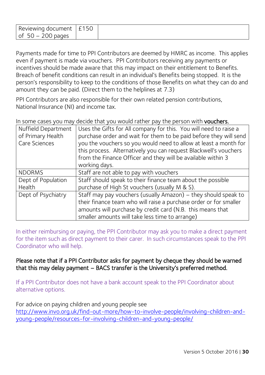| Reviewing document | ∽<br>$\ddot{\phantom{1}}$ |
|--------------------|---------------------------|
| 56.<br>ח∩ק         |                           |

Payments made for time to PPI Contributors are deemed by HMRC as income. This applies even if payment is made via vouchers. PPI Contributors receiving any payments or incentives should be made aware that this may impact on their entitlement to Benefits. Breach of benefit conditions can result in an individual's Benefits being stopped. It is the person's responsibility to keep to the conditions of those Benefits on what they can do and amount they can be paid. (Direct them to the helplines at 7.3)

PPI Contributors are also responsible for their own related pension contributions, National Insurance (NI) and income tax.

In some cases you may decide that you would rather pay the person with vouchers.

| Nuffield Department<br>of Primary Health | Uses the Gifts for All company for this. You will need to raise a<br>purchase order and wait for them to be paid before they will send                                                               |
|------------------------------------------|------------------------------------------------------------------------------------------------------------------------------------------------------------------------------------------------------|
| <b>Care Sciences</b>                     | you the vouchers so you would need to allow at least a month for<br>this process. Alternatively you can request Blackwell's vouchers<br>from the Finance Officer and they will be available within 3 |
|                                          | working days.                                                                                                                                                                                        |
| <b>NDORMS</b>                            | Staff are not able to pay with vouchers                                                                                                                                                              |
| Dept of Population                       | Staff should speak to their finance team about the possible                                                                                                                                          |
| Health                                   | purchase of High St vouchers (usually M & S).                                                                                                                                                        |
| Dept of Psychiatry                       | Staff may pay vouchers (usually Amazon) – they should speak to                                                                                                                                       |
|                                          | their finance team who will raise a purchase order or for smaller                                                                                                                                    |
|                                          | amounts will purchase by credit card (N.B. this means that                                                                                                                                           |
|                                          | smaller amounts will take less time to arrange)                                                                                                                                                      |

In either reimbursing or paying, the PPI Contributor may ask you to make a direct payment for the item such as direct payment to their carer. In such circumstances speak to the PPI Coordinator who will help.

#### Please note that if a PPI Contributor asks for payment by cheque they should be warned that this may delay payment – BACS transfer is the University's preferred method.

If a PPI Contributor does not have a bank account speak to the PPI Coordinator about alternative options.

For advice on paying children and young people see

[http://www.invo.org.uk/find-out-more/how-to-involve-people/involving-children-and](http://www.invo.org.uk/find-out-more/how-to-involve-people/involving-children-and-young-people/resources-for-involving-children-and-young-people/)[young-people/resources-for-involving-children-and-young-people/](http://www.invo.org.uk/find-out-more/how-to-involve-people/involving-children-and-young-people/resources-for-involving-children-and-young-people/)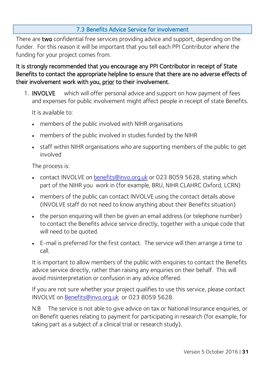#### 7.3 Benefits Advice Service for involvement

<span id="page-30-0"></span>There are two confidential free services providing advice and support, depending on the funder. For this reason it will be important that you tell each PPI Contributor where the funding for your project comes from.

It is strongly recommended that you encourage any PPI Contributor in receipt of State Benefits to contact the appropriate helpline to ensure that there are no adverse effects of their involvement work with you, prior to their involvement.

1. INVOLVE which will offer personal advice and support on how payment of fees and expenses for public involvement might affect people in receipt of state Benefits.

It is available to:

- members of the public involved with NIHR organisations
- members of the public involved in studies funded by the NIHR
- staff within NIHR organisations who are supporting members of the public to get involved

The process is:

- contact INVOLVE on [benefits@invo.org.uk](mailto:benefits@invo.org.uk) or 023 8059 5628, stating which part of the NIHR you work in (for example, BRU, NIHR CLAHRC Oxford, LCRN)
- members of the public can contact INVOLVE using the contact details above (INVOLVE staff do not need to know anything about their Benefits situation)
- the person enquiring will then be given an email address (or telephone number) to contact the Benefits advice service directly, together with a unique code that will need to be quoted.
- E-mail is preferred for the first contact. The service will then arrange a time to call.

It is important to allow members of the public with enquiries to contact the Benefits advice service directly, rather than raising any enquiries on their behalf. This will avoid misinterpretation or confusion in any advice offered.

If you are not sure whether your project qualifies to use this service, please contact INVOLVE on [Benefits@invo.org.uk](mailto:benefits@invo.org.uk) or 023 8059 5628.

N.B The service is not able to give advice on tax or National Insurance enquiries, or on Benefit queries relating to payment for participating in research (for example, for taking part as a subject of a clinical trial or research study).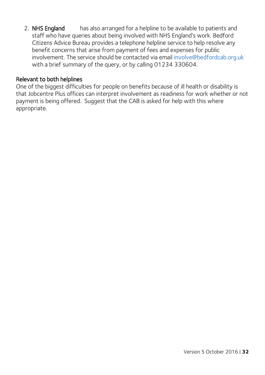2. NHS England has also arranged for a helpline to be available to patients and staff who have queries about being involved with NHS England's work. Bedford Citizens Advice Bureau provides a telephone helpline service to help resolve any benefit concerns that arise from payment of fees and expenses for public involvement. The service should be contacted via email involve@bedfordcab.org.uk with a brief summary of the query, or by calling 01234 330604.

#### Relevant to both helplines

One of the biggest difficulties for people on benefits because of ill health or disability is that Jobcentre Plus offices can interpret involvement as readiness for work whether or not payment is being offered. Suggest that the CAB is asked for help with this where appropriate.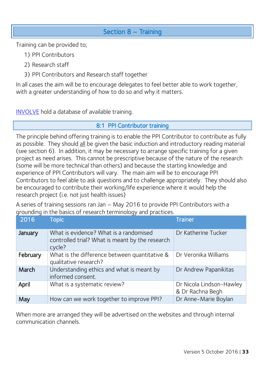## Section 8 – Training

<span id="page-32-0"></span>Training can be provided to;

- 1) PPI Contributors
- 2) Research staff
- 3) PPI Contributors and Research staff together

In all cases the aim will be to encourage delegates to feel better able to work together, with a greater understanding of how to do so and why it matters.

<span id="page-32-1"></span>[INVOLVE](http://www.invo.org.uk/resource-centre/training-resource/) hold a database of available training.

#### 8:1 PPI Contributor training

The principle behind offering training is to enable the PPI Contributor to contribute as fully as possible. They should all be given the basic induction and introductory reading material (see section 6). In addition, it may be necessary to arrange specific training for a given project as need arises. This cannot be prescriptive because of the nature of the research (some will be more technical than others) and because the starting knowledge and experience of PPI Contributors will vary. The main aim will be to encourage PPI Contributors to feel able to ask questions and to challenge appropriately. They should also be encouraged to contribute their working/life experience where it would help the research project (i.e. not just health issues)

A series of training sessions ran Jan – May 2016 to provide PPI Contributors with a grounding in the basics of research terminology and practices.

| 2016     | <b>Topic</b>                                                                                        | <b>Trainer</b>                               |
|----------|-----------------------------------------------------------------------------------------------------|----------------------------------------------|
| January  | What is evidence? What is a randomised<br>controlled trial? What is meant by the research<br>cycle? | Dr Katherine Tucker                          |
| February | What is the difference between quantitative &<br>qualitative research?                              | Dr Veronika Williams                         |
| March    | Understanding ethics and what is meant by<br>informed consent.                                      | Dr Andrew Papanikitas                        |
| April    | What is a systematic review?                                                                        | Dr Nicola Lindson-Hawley<br>& Dr Rachna Begh |
| May      | How can we work together to improve PPI?                                                            | Dr Anne-Marie Boylan                         |

When more are arranged they will be advertised on the websites and through internal communication channels.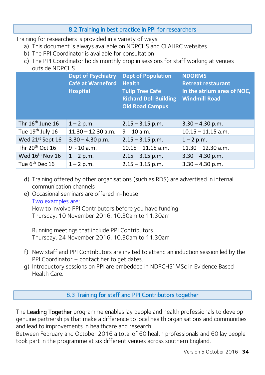#### 8.2 Training in best practice in PPI for researchers

<span id="page-33-0"></span>Training for researchers is provided in a variety of ways.

- a) This document is always available on NDPCHS and CLAHRC websites
- b) The PPI Coordinator is available for consultation
- c) The PPI Coordinator holds monthly drop in sessions for staff working at venues outside NDPCHS

|                              | <b>Dept of Psychiatry</b><br>Café at Warneford<br><b>Hospital</b> | <b>Dept of Population</b><br><b>Health</b><br><b>Tulip Tree Cafe</b><br><b>Richard Doll Building</b><br><b>Old Road Campus</b> | <b>NDORMS</b><br><b>Retreat restaurant</b><br>In the atrium area of NOC,<br><b>Windmill Road</b> |
|------------------------------|-------------------------------------------------------------------|--------------------------------------------------------------------------------------------------------------------------------|--------------------------------------------------------------------------------------------------|
| Thr $16th$ June $16th$       | $1 - 2 p.m.$                                                      | $2.15 - 3.15$ p.m.                                                                                                             | $3.30 - 4.30$ p.m.                                                                               |
| Tue $19th$ July 16           | $11.30 - 12.30$ a.m.                                              | $9 - 10$ a.m.                                                                                                                  | $10.15 - 11.15$ a.m.                                                                             |
| Wed 21 <sup>st</sup> Sept 16 | $3.30 - 4.30$ p.m.                                                | $2.15 - 3.15$ p.m.                                                                                                             | $1 - 2 p.m.$                                                                                     |
| Thr $20th$ Oct 16            | $9 - 10$ a.m.                                                     | $10.15 - 11.15$ a.m.                                                                                                           | $11.30 - 12.30$ a.m.                                                                             |
| Wed 16 <sup>th</sup> Nov 16  | $1 - 2 p.m.$                                                      | $2.15 - 3.15$ p.m.                                                                                                             | $3.30 - 4.30$ p.m.                                                                               |
| Tue $6^{th}$ Dec 16          | $1 - 2 p.m.$                                                      | $2.15 - 3.15$ p.m.                                                                                                             | $3.30 - 4.30$ p.m.                                                                               |

- d) Training offered by other organisations (such as RDS) are advertised in internal communication channels
- e) Occasional seminars are offered in-house [Two examples are;](https://www.phc.ox.ac.uk/about/seminars-and-talks/Department-seminars)  How to involve PPI Contributors before you have funding

Thursday, 10 November 2016, 10.30am to 11.30am

Running meetings that include PPI Contributors Thursday, 24 November 2016, 10.30am to 11.30am

- f) New staff and PPI Contributors are invited to attend an induction session led by the PPI Coordinator – contact her to get dates.
- <span id="page-33-1"></span>g) Introductory sessions on PPI are embedded in NDPCHS' MSc in Evidence Based Health Care.

8.3 Training for staff and PPI Contributors together

The Leading Together programme enables lay people and health professionals to develop genuine partnerships that make a difference to local health organisations and communities and lead to improvements in healthcare and research.

Between February and October 2016 a total of 60 health professionals and 60 lay people took part in the programme at six different venues across southern England.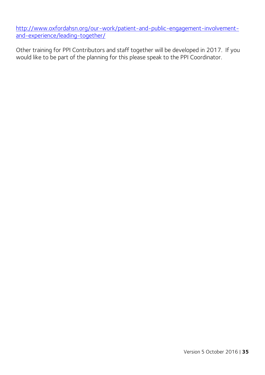[http://www.oxfordahsn.org/our-work/patient-and-public-engagement-involvement](http://www.oxfordahsn.org/our-work/patient-and-public-engagement-involvement-and-experience/leading-together/)[and-experience/leading-together/](http://www.oxfordahsn.org/our-work/patient-and-public-engagement-involvement-and-experience/leading-together/)

Other training for PPI Contributors and staff together will be developed in 2017. If you would like to be part of the planning for this please speak to the PPI Coordinator.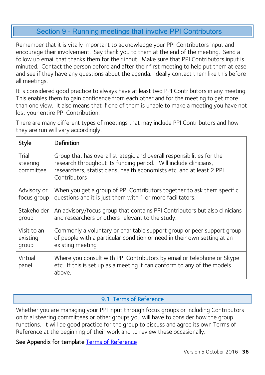## Section 9 - Running meetings that involve PPI Contributors

<span id="page-35-0"></span>Remember that it is vitally important to acknowledge your PPI Contributors input and encourage their involvement. Say thank you to them at the end of the meeting. Send a follow up email that thanks them for their input. Make sure that PPI Contributors input is minuted. Contact the person before and after their first meeting to help put them at ease and see if they have any questions about the agenda. Ideally contact them like this before all meetings.

It is considered good practice to always have at least two PPI Contributors in any meeting. This enables them to gain confidence from each other and for the meeting to get more than one view. It also means that if one of them is unable to make a meeting you have not lost your entire PPI Contribution.

There are many different types of meetings that may include PPI Contributors and how they are run will vary accordingly.

| Style                          | Definition                                                                                                                                                                                                                         |
|--------------------------------|------------------------------------------------------------------------------------------------------------------------------------------------------------------------------------------------------------------------------------|
| Trial<br>steering<br>committee | Group that has overall strategic and overall responsibilities for the<br>research throughout its funding period. Will include clinicians,<br>researchers, statisticians, health economists etc. and at least 2 PPI<br>Contributors |
| Advisory or                    | When you get a group of PPI Contributors together to ask them specific                                                                                                                                                             |
| focus group                    | questions and it is just them with 1 or more facilitators.                                                                                                                                                                         |
| Stakeholder                    | An advisory/focus group that contains PPI Contributors but also clinicians                                                                                                                                                         |
| group                          | and researchers or others relevant to the study.                                                                                                                                                                                   |
| Visit to an                    | Commonly a voluntary or charitable support group or peer support group                                                                                                                                                             |
| existing                       | of people with a particular condition or need in their own setting at an                                                                                                                                                           |
| group                          | existing meeting                                                                                                                                                                                                                   |
| Virtual<br>panel               | Where you consult with PPI Contributors by email or telephone or Skype<br>etc. If this is set up as a meeting it can conform to any of the models<br>above.                                                                        |

#### 9.1 Terms of Reference

<span id="page-35-1"></span>Whether you are managing your PPI input through focus groups or including Contributors on trial steering committees or other groups you will have to consider how the group functions. It will be good practice for the group to discuss and agree its own Terms of Reference at the beginning of their work and to review these occasionally.

#### See Appendix for template Terms of Reference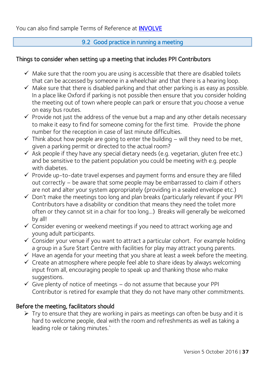# 9.2 Good practice in running a meeting

# Things to consider when setting up a meeting that includes PPI Contributors

- $\checkmark$  Make sure that the room you are using is accessible that there are disabled toilets that can be accessed by someone in a wheelchair and that there is a hearing loop.
- $\checkmark$  Make sure that there is disabled parking and that other parking is as easy as possible. In a place like Oxford if parking is not possible then ensure that you consider holding the meeting out of town where people can park or ensure that you choose a venue on easy bus routes.
- $\checkmark$  Provide not just the address of the venue but a map and any other details necessary to make it easy to find for someone coming for the first time. Provide the phone number for the reception in case of last minute difficulties.
- $\checkmark$  Think about how people are going to enter the building will they need to be met, given a parking permit or directed to the actual room?
- $\checkmark$  Ask people if they have any special dietary needs (e.g. vegetarian, gluten free etc.) and be sensitive to the patient population you could be meeting with e.g. people with diabetes.
- $\checkmark$  Provide up-to-date travel expenses and payment forms and ensure they are filled out correctly – be aware that some people may be embarrassed to claim if others are not and alter your system appropriately (providing in a sealed envelope etc.)
- $\checkmark$  Don't make the meetings too long and plan breaks (particularly relevant if your PPI Contributors have a disability or condition that means they need the toilet more often or they cannot sit in a chair for too long…) Breaks will generally be welcomed by all!
- $\checkmark$  Consider evening or weekend meetings if you need to attract working age and young adult participants.
- $\checkmark$  Consider your venue if you want to attract a particular cohort. For example holding a group in a Sure Start Centre with facilities for play may attract young parents.
- $\checkmark$  Have an agenda for your meeting that you share at least a week before the meeting.
- $\checkmark$  Create an atmosphere where people feel able to share ideas by always welcoming input from all, encouraging people to speak up and thanking those who make suggestions.
- $\checkmark$  Give plenty of notice of meetings do not assume that because your PPI Contributor is retired for example that they do not have many other commitments.

# Before the meeting, facilitators should

 $\triangleright$  Try to ensure that they are working in pairs as meetings can often be busy and it is hard to welcome people, deal with the room and refreshments as well as taking a leading role or taking minutes.`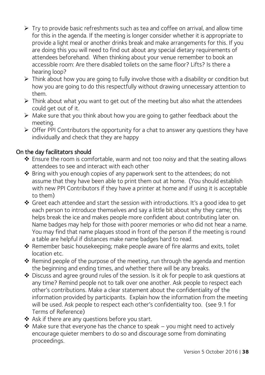- $\triangleright$  Try to provide basic refreshments such as tea and coffee on arrival, and allow time for this in the agenda. If the meeting is longer consider whether it is appropriate to provide a light meal or another drinks break and make arrangements for this. If you are doing this you will need to find out about any special dietary requirements of attendees beforehand. When thinking about your venue remember to book an accessible room: Are there disabled toilets on the same floor? Lifts? Is there a hearing loop?
- $\triangleright$  Think about how you are going to fully involve those with a disability or condition but how you are going to do this respectfully without drawing unnecessary attention to them.
- $\triangleright$  Think about what you want to get out of the meeting but also what the attendees could get out of it.
- $\triangleright$  Make sure that you think about how you are going to gather feedback about the meeting.
- $\triangleright$  Offer PPI Contributors the opportunity for a chat to answer any questions they have individually and check that they are happy

# On the day facilitators should

- Ensure the room is comfortable, warm and not too noisy and that the seating allows attendees to see and interact with each other
- Bring with you enough copies of any paperwork sent to the attendees; do not assume that they have been able to print them out at home. (You should establish with new PPI Contributors if they have a printer at home and if using it is acceptable to them)
- Greet each attendee and start the session with introductions. It's a good idea to get each person to introduce themselves and say a little bit about why they came; this helps break the ice and makes people more confident about contributing later on. Name badges may help for those with poorer memories or who did not hear a name. You may find that name plaques stood in front of the person if the meeting is round a table are helpful if distances make name badges hard to read.
- Remember basic housekeeping; make people aware of fire alarms and exits, toilet location etc.
- \* Remind people of the purpose of the meeting, run through the agenda and mention the beginning and ending times, and whether there will be any breaks.
- Discuss and agree ground rules of the session. Is it ok for people to ask questions at any time? Remind people not to talk over one another. Ask people to respect each other's contributions. Make a clear statement about the confidentiality of the information provided by participants. Explain how the information from the meeting will be used. Ask people to respect each other's confidentiality too. (see 9.1 for Terms of Reference)
- ◆ Ask if there are any questions before you start.
- $\triangle$  Make sure that everyone has the chance to speak you might need to actively encourage quieter members to do so and discourage some from dominating proceedings.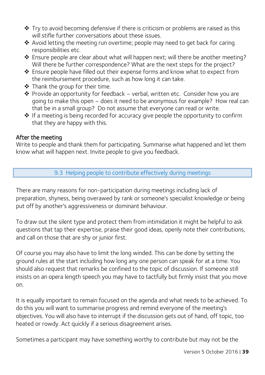- $\cdot$  Try to avoid becoming defensive if there is criticism or problems are raised as this will stifle further conversations about these issues.
- Avoid letting the meeting run overtime; people may need to get back for caring responsibilities etc.
- \* Ensure people are clear about what will happen next; will there be another meeting? Will there be further correspondence? What are the next steps for the project?
- ❖ Ensure people have filled out their expense forms and know what to expect from the reimbursement procedure, such as how long it can take.
- ◆ Thank the group for their time.
- ◆ Provide an opportunity for feedback verbal, written etc. Consider how you are going to make this open – does it need to be anonymous for example? How real can that be in a small group? Do not assume that everyone can read or write.
- If a meeting is being recorded for accuracy give people the opportunity to confirm that they are happy with this.

#### After the meeting

Write to people and thank them for participating. Summarise what happened and let them know what will happen next. Invite people to give you feedback.

#### 9.3 Helping people to contribute effectively during meetings

There are many reasons for non-participation during meetings including lack of preparation, shyness, being overawed by rank or someone's specialist knowledge or being put off by another's aggressiveness or dominant behaviour.

To draw out the silent type and protect them from intimidation it might be helpful to ask questions that tap their expertise, praise their good ideas, openly note their contributions, and call on those that are shy or junior first.

Of course you may also have to limit the long winded. This can be done by setting the ground rules at the start including how long any one person can speak for at a time. You should also request that remarks be confined to the topic of discussion. If someone still insists on an opera length speech you may have to tactfully but firmly insist that you move on.

It is equally important to remain focused on the agenda and what needs to be achieved. To do this you will want to summarise progress and remind everyone of the meeting's objectives. You will also have to interrupt if the discussion gets out of hand, off topic, too heated or rowdy. Act quickly if a serious disagreement arises.

Sometimes a participant may have something worthy to contribute but may not be the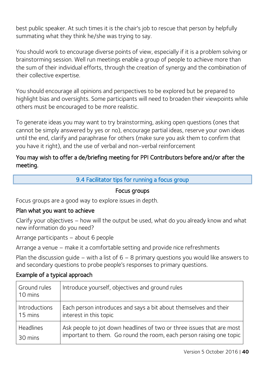best public speaker. At such times it is the chair's job to rescue that person by helpfully summating what they think he/she was trying to say.

You should work to encourage diverse points of view, especially if it is a problem solving or brainstorming session. Well run meetings enable a group of people to achieve more than the sum of their individual efforts, through the creation of synergy and the combination of their collective expertise.

You should encourage all opinions and perspectives to be explored but be prepared to highlight bias and oversights. Some participants will need to broaden their viewpoints while others must be encouraged to be more realistic.

To generate ideas you may want to try brainstorming, asking open questions (ones that cannot be simply answered by yes or no), encourage partial ideas, reserve your own ideas until the end, clarify and paraphrase for others (make sure you ask them to confirm that you have it right), and the use of verbal and non-verbal reinforcement

# You may wish to offer a de/briefing meeting for PPI Contributors before and/or after the meeting.

#### 9.4 Facilitator tips for running a focus group

#### Focus groups

Focus groups are a good way to explore issues in depth.

#### Plan what you want to achieve

Clarify your objectives – how will the output be used, what do you already know and what new information do you need?

Arrange participants – about 6 people

Arrange a venue – make it a comfortable setting and provide nice refreshments

Plan the discussion quide – with a list of  $6 - 8$  primary questions you would like answers to and secondary questions to probe people's responses to primary questions.

# Example of a typical approach

| Ground rules<br>10 mins | Introduce yourself, objectives and ground rules                       |
|-------------------------|-----------------------------------------------------------------------|
| Introductions           | Each person introduces and says a bit about themselves and their      |
| 15 mins                 | interest in this topic                                                |
| <b>Headlines</b>        | Ask people to jot down headlines of two or three issues that are most |
| 30 mins                 | important to them. Go round the room, each person raising one topic   |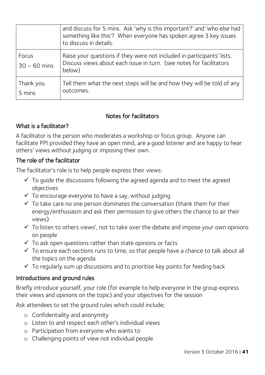|                         | and discuss for 5 mins. Ask 'why is this important?' and 'who else had<br>something like this'? When everyone has spoken agree 3 key issues<br>to discuss in details. |
|-------------------------|-----------------------------------------------------------------------------------------------------------------------------------------------------------------------|
| Focus<br>$30 - 60$ mins | Raise your questions if they were not included in participants' lists.<br>Discuss views about each issue in turn. (see notes for facilitators<br>below)               |
| Thank you<br>5 mins     | Tell them what the next steps will be and how they will be told of any<br>outcomes.                                                                                   |

#### Notes for facilitators

#### What is a facilitator?

A facilitator is the person who moderates a workshop or focus group. Anyone can facilitate PPI provided they have an open mind, are a good listener and are happy to hear others' views without judging or imposing their own.

#### The role of the facilitator

The facilitator's role is to help people express their views:

- $\checkmark$  To quide the discussions following the agreed agenda and to meet the agreed objectives
- $\checkmark$  To encourage everyone to have a say, without judging
- $\checkmark$  To take care no one person dominates the conversation (thank them for their energy/enthusiasm and ask their permission to give others the chance to air their views)
- $\checkmark$  To listen to others views', not to take over the debate and impose your own opinions on people
- $\checkmark$  To ask open questions rather than state opinions or facts
- $\checkmark$  To ensure each sections runs to time, so that people have a chance to talk about all the topics on the agenda
- $\checkmark$  To regularly sum up discussions and to prioritise key points for feeding back

# Introductions and ground rules

Briefly introduce yourself, your role (for example to help everyone in the group express their views and opinions on the topic) and your objectives for the session

Ask attendees to set the ground rules which could include;

- o Confidentiality and anonymity
- o Listen to and respect each other's individual views
- o Participation from everyone who wants to
- o Challenging points of view not individual people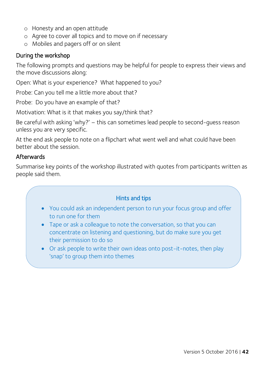- o Honesty and an open attitude
- o Agree to cover all topics and to move on if necessary
- o Mobiles and pagers off or on silent

#### During the workshop

The following prompts and questions may be helpful for people to express their views and the move discussions along:

Open: What is your experience? What happened to you?

Probe: Can you tell me a little more about that?

Probe: Do you have an example of that?

Motivation: What is it that makes you say/think that?

Be careful with asking 'why?' – this can sometimes lead people to second-guess reason unless you are very specific.

At the end ask people to note on a flipchart what went well and what could have been better about the session.

#### Afterwards

Summarise key points of the workshop illustrated with quotes from participants written as people said them.

#### Hints and tips

- You could ask an independent person to run your focus group and offer to run one for them
- Tape or ask a colleague to note the conversation, so that you can concentrate on listening and questioning, but do make sure you get their permission to do so
- Or ask people to write their own ideas onto post-it-notes, then play 'snap' to group them into themes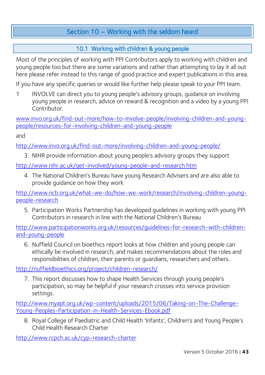# Section 10 – Working with the seldom heard

# 10.1 Working with children & young people

Most of the principles of working with PPI Contributors apply to working with children and young people too but there are some variations and rather than attempting to lay it all out here please refer instead to this range of good practice and expert publications in this area.

If you have any specific queries or would like further help please speak to your PPI team.

1 INVOLVE can direct you to young people's advisory groups, guidance on involving young people in research, advice on reward & recognition and a video by a young PPI **Contributor** 

[www.invo.org.uk/find-out-more/how-to-involve-people/involving-children-and-young](http://www.invo.org.uk/find-out-more/how-to-involve-people/involving-children-and-young-people/resources-for-involving-children-and-young-people)[people/resources-for-involving-children-and-young-people](http://www.invo.org.uk/find-out-more/how-to-involve-people/involving-children-and-young-people/resources-for-involving-children-and-young-people) 

and

<http://www.invo.org.uk/find-out-more/involving-children-and-young-people/>

3. NIHR provide information about young people's advisory groups they support

<http://www.nihr.ac.uk/get-involved/young-people-and-research.htm>

4. The National Children's Bureau have young Research Advisers and are also able to provide guidance on how they work

[http://www.ncb.org.uk/what-we-do/how-we-work/research/involving-children-young](http://www.ncb.org.uk/what-we-do/how-we-work/research/involving-children-young-people-research)[people-research](http://www.ncb.org.uk/what-we-do/how-we-work/research/involving-children-young-people-research)

5. Participation Works Partnership has developed guidelines in working with young PPI Contributors in research in line with the National Children's Bureau

[http://www.participationworks.org.uk/resources/guidelines-for-research-with-children](http://www.participationworks.org.uk/resources/guidelines-for-research-with-children-and-young-people)[and-young-people](http://www.participationworks.org.uk/resources/guidelines-for-research-with-children-and-young-people)

6. Nuffield Council on bioethics report looks at how children and young people can ethically be involved in research, and makes recommendations about the roles and responsibilities of children, their parents or guardians, researchers and others.

<http://nuffieldbioethics.org/project/children-research/>

7. This report discusses how to shape Health Services through young people's participation, so may be helpful if your research crosses into service provision settings.

[http://www.myapt.org.uk/wp-content/uploads/2015/06/Taking-on-The-Challenge-](http://www.myapt.org.uk/wp-content/uploads/2015/06/Taking-on-The-Challenge-Young-Peoples-Participation-in-Health-Services-Ebook.pdf)[Young-Peoples-Participation-in-Health-Services-Ebook.pdf](http://www.myapt.org.uk/wp-content/uploads/2015/06/Taking-on-The-Challenge-Young-Peoples-Participation-in-Health-Services-Ebook.pdf)

8. Royal College of Paediatric and Child Health 'Infants', Children's and Young People's Child Health Research Charter

<http://www.rcpch.ac.uk/cyp-research-charter>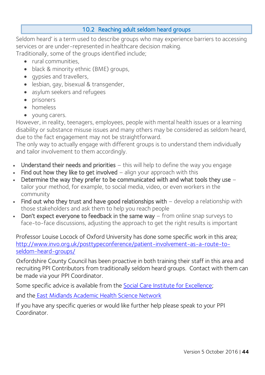# 10.2 Reaching adult seldom heard groups

Seldom heard' is a term used to describe groups who may experience barriers to accessing services or are under-represented in healthcare decision making.

Traditionally, some of the groups identified include;

- rural communities
- black & minority ethnic (BME) groups,
- qypsies and travellers,
- lesbian, gay, bisexual & transgender,
- asylum seekers and refugees
- prisoners
- homeless
- young carers.

However, in reality, teenagers, employees, people with mental health issues or a learning disability or substance misuse issues and many others may be considered as seldom heard, due to the fact engagement may not be straightforward.

The only way to actually engage with different groups is to understand them individually and tailor involvement to them accordingly.

- Understand their needs and priorities  $-$  this will help to define the way you engage
- Find out how they like to get involved  $-$  align your approach with this
- Determine the way they prefer to be communicated with and what tools they use tailor your method, for example, to social media, video, or even workers in the community
- Find out who they trust and have good relationships with  $-$  develop a relationship with those stakeholders and ask them to help you reach people
- Don't expect everyone to feedback in the same way from online snap surveys to face-to-face discussions, adjusting the approach to get the right results is important

Professor Louise Locock of Oxford University has done some specific work in this area; [http://www.invo.org.uk/posttypeconference/patient-involvement-as-a-route-to](http://www.invo.org.uk/posttypeconference/patient-involvement-as-a-route-to-seldom-heard-groups/)[seldom-heard-groups/](http://www.invo.org.uk/posttypeconference/patient-involvement-as-a-route-to-seldom-heard-groups/)

Oxfordshire County Council has been proactive in both training their staff in this area and recruiting PPI Contributors from traditionally seldom heard groups. Contact with them can be made via your PPI Coordinator.

Some specific advice is available from the [Social Care Institute for Excellence;](http://www.scie.org.uk/publications/positionpapers/pp10.asp)

and the [East Midlands Academic Health Science Network](http://emahsn.org.uk/images/resource-hub/PPI%20documents/How%20to%20guidance/How_to_engage_seldom_heard_groups.pdf)

If you have any specific queries or would like further help please speak to your PPI Coordinator.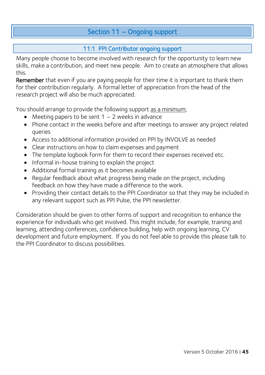# Section 11 – Ongoing support

# 11:1 PPI Contributor ongoing support

Many people choose to become involved with research for the opportunity to learn new skills, make a contribution, and meet new people. Aim to create an atmosphere that allows this.

Remember that even if you are paying people for their time it is important to thank them for their contribution regularly. A formal letter of appreciation from the head of the research project will also be much appreciated.

You should arrange to provide the following support as a minimum;

- Meeting papers to be sent  $1 2$  weeks in advance
- Phone contact in the weeks before and after meetings to answer any project related queries
- Access to additional information provided on PPI by INVOLVE as needed
- Clear instructions on how to claim expenses and payment
- The template logbook form for them to record their expenses received etc.
- Informal in-house training to explain the project
- Additional formal training as it becomes available
- Regular feedback about what progress being made on the project, including feedback on how they have made a difference to the work.
- Providing their contact details to the PPI Coordinator so that they may be included in any relevant support such as PPI Pulse, the PPI newsletter.

Consideration should be given to other forms of support and recognition to enhance the experience for individuals who get involved. This might include, for example, training and learning, attending conferences, confidence building, help with ongoing learning, CV development and future employment. If you do not feel able to provide this please talk to the PPI Coordinator to discuss possibilities.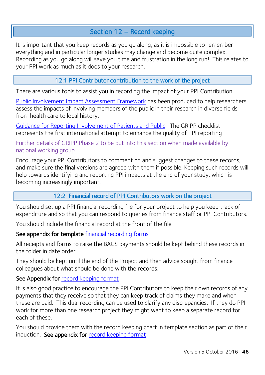# Section 12 – Record keeping

It is important that you keep records as you go along, as it is impossible to remember everything and in particular longer studies may change and become quite complex. Recording as you go along will save you time and frustration in the long run! This relates to your PPI work as much as it does to your research.

#### 12:1 PPI Contributor contribution to the work of the project

There are various tools to assist you in recording the impact of your PPI Contribution.

[Public Involvement Impact Assessment Framework](http://piiaf.org.uk/) has been produced to help researchers assess the impacts of involving members of the public in their research in diverse fields from health care to local history.

[Guidance for Reporting Involvement of Patients and Public.](https://www.ncbi.nlm.nih.gov/pubmed/22004782) The GRIPP checklist represents the first international attempt to enhance the quality of PPI reporting

#### Further details of GRIPP Phase 2 to be put into this section when made available by national working group.

Encourage your PPI Contributors to comment on and suggest changes to these records, and make sure the final versions are agreed with them if possible. Keeping such records will help towards identifying and reporting PPI impacts at the end of your study, which is becoming increasingly important.

# 12:2 Financial record of PPI Contributors work on the project

You should set up a PPI financial recording file for your project to help you keep track of expenditure and so that you can respond to queries from finance staff or PPI Contributors.

You should include the financial record at the front of the file

#### See appendix for template [financial recording forms](#page-75-0)

All receipts and forms to raise the BACS payments should be kept behind these records in the folder in date order.

They should be kept until the end of the Project and then advice sought from finance colleagues about what should be done with the records.

# See Appendix for record keeping format

It is also good practice to encourage the PPI Contributors to keep their own records of any payments that they receive so that they can keep track of claims they make and when these are paid. This dual recording can be used to clarify any discrepancies. If they do PPI work for more than one research project they might want to keep a separate record for each of these.

You should provide them with the record keeping chart in template section as part of their induction. See appendix for [record keeping format](#page-75-0)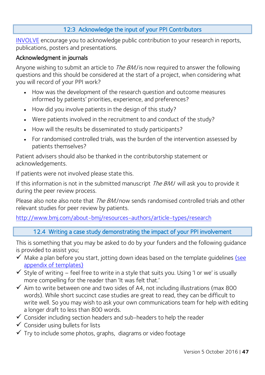# 12:3 Acknowledge the input of your PPI Contributors

[INVOLVE](http://www.invo.org.uk/) encourage you to acknowledge public contribution to your research in reports, publications, posters and presentations.

#### Acknowledgment in journals

Anyone wishing to submit an article to *The BMJ* is now required to answer the following questions and this should be considered at the start of a project, when considering what you will record of your PPI work?

- How was the development of the research question and outcome measures informed by patients' priorities, experience, and preferences?
- How did you involve patients in the design of this study?
- Were patients involved in the recruitment to and conduct of the study?
- How will the results be disseminated to study participants?
- For randomised controlled trials, was the burden of the intervention assessed by patients themselves?

Patient advisers should also be thanked in the contributorship statement or acknowledgements.

If patients were not involved please state this.

If this information is not in the submitted manuscript The BMJ will ask you to provide it during the peer review process.

Please also note also note that *The BMJ* now sends randomised controlled trials and other relevant studies for peer review by patients.

<http://www.bmj.com/about-bmj/resources-authors/article-types/research>

#### 12.4 Writing a case study demonstrating the impact of your PPI involvement

This is something that you may be asked to do by your funders and the following guidance is provided to assist you;

- $\checkmark$  Make a plan before you start, jotting down ideas based on the template quidelines (see [appendix of templates\)](#page-78-0)
- $\checkmark$  Style of writing feel free to write in a style that suits you. Using 'I or we' is usually more compelling for the reader than 'It was felt that.'
- $\checkmark$  Aim to write between one and two sides of A4, not including illustrations (max 800 words). While short succinct case studies are great to read, they can be difficult to write well. So you may wish to ask your own communications team for help with editing a longer draft to less than 800 words.
- $\checkmark$  Consider including section headers and sub-headers to help the reader
- $\checkmark$  Consider using bullets for lists
- $\checkmark$  Try to include some photos, graphs, diagrams or video footage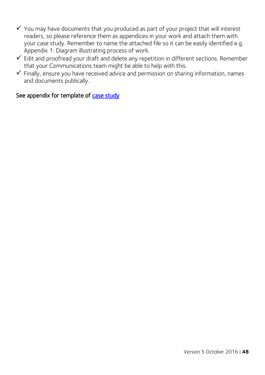- $\checkmark$  You may have documents that you produced as part of your project that will interest readers, so please reference them as appendices in your work and attach them with your case study. Remember to name the attached file so it can be easily identified e.g. Appendix 1: Diagram illustrating process of work.
- $\checkmark$  Edit and proofread your draft and delete any repetition in different sections. Remember that your Communications team might be able to help with this.
- $\checkmark$  Finally, ensure you have received advice and permission on sharing information, names and documents publically.

#### See appendix for template of case study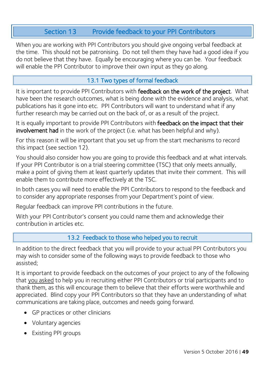# Section 13 Provide feedback to your PPI Contributors

When you are working with PPI Contributors you should give ongoing verbal feedback at the time. This should not be patronising. Do not tell them they have had a good idea if you do not believe that they have. Equally be encouraging where you can be. Your feedback will enable the PPI Contributor to improve their own input as they go along.

# 13.1 Two types of formal feedback

It is important to provide PPI Contributors with feedback on the work of the project. What have been the research outcomes, what is being done with the evidence and analysis, what publications has it gone into etc. PPI Contributors will want to understand what if any further research may be carried out on the back of, or as a result of the project.

It is equally important to provide PPI Contributors with feedback on the impact that their involvement had in the work of the project (i.e. what has been helpful and why).

For this reason it will be important that you set up from the start mechanisms to record this impact (see section 12).

You should also consider how you are going to provide this feedback and at what intervals. If your PPI Contributor is on a trial steering committee (TSC) that only meets annually, make a point of giving them at least quarterly updates that invite their comment. This will enable them to contribute more effectively at the TSC.

In both cases you will need to enable the PPI Contributors to respond to the feedback and to consider any appropriate responses from your Department's point of view.

Regular feedback can improve PPI contributions in the future.

With your PPI Contributor's consent you could name them and acknowledge their contribution in articles etc.

# 13.2 Feedback to those who helped you to recruit

In addition to the direct feedback that you will provide to your actual PPI Contributors you may wish to consider some of the following ways to provide feedback to those who assisted;

It is important to provide feedback on the outcomes of your project to any of the following that you asked to help you in recruiting either PPI Contributors or trial participants and to thank them, as this will encourage them to believe that their efforts were worthwhile and appreciated. Blind copy your PPI Contributors so that they have an understanding of what communications are taking place, outcomes and needs going forward.

- GP practices or other clinicians
- Voluntary agencies
- Existing PPI groups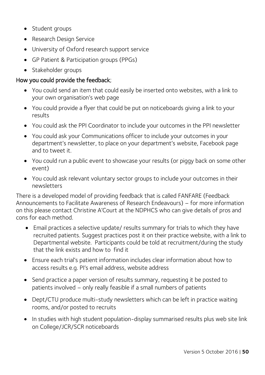- Student groups
- Research Design Service
- University of Oxford research support service
- GP Patient & Participation groups (PPGs)
- Stakeholder groups

#### How you could provide the feedback;

- You could send an item that could easily be inserted onto websites, with a link to your own organisation's web page
- You could provide a flyer that could be put on noticeboards giving a link to your results
- You could ask the PPI Coordinator to include your outcomes in the PPI newsletter
- You could ask your Communications officer to include your outcomes in your department's newsletter, to place on your department's website, Facebook page and to tweet it.
- You could run a public event to showcase your results (or piggy back on some other event)
- You could ask relevant voluntary sector groups to include your outcomes in their newsletters

There is a developed model of providing feedback that is called FANFARE (Feedback Announcements to Facilitate Awareness of Research Endeavours) – for more information on this please contact Christine A'Court at the NDPHCS who can give details of pros and cons for each method.

- Email practices a selective update/ results summary for trials to which they have recruited patients. Suggest practices post it on their practice website, with a link to Departmental website. Participants could be told at recruitment/during the study that the link exists and how to find it
- Ensure each trial's patient information includes clear information about how to access results e.g. PI's email address, website address
- Send practice a paper version of results summary, requesting it be posted to patients involved – only really feasible if a small numbers of patients
- Dept/CTU produce multi-study newsletters which can be left in practice waiting rooms, and/or posted to recruits
- In studies with high student population-display summarised results plus web site link on College/JCR/SCR noticeboards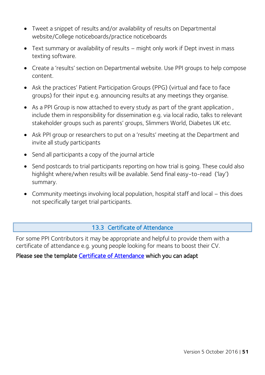- Tweet a snippet of results and/or availability of results on Departmental website/College noticeboards/practice noticeboards
- Text summary or availability of results might only work if Dept invest in mass texting software.
- Create a 'results' section on Departmental website. Use PPI groups to help compose content.
- Ask the practices' Patient Participation Groups (PPG) (virtual and face to face groups) for their input e.g. announcing results at any meetings they organise.
- As a PPI Group is now attached to every study as part of the grant application, include them in responsibility for dissemination e.g. via local radio, talks to relevant stakeholder groups such as parents' groups, Slimmers World, Diabetes UK etc.
- Ask PPI group or researchers to put on a 'results' meeting at the Department and invite all study participants
- Send all participants a copy of the journal article
- Send postcards to trial participants reporting on how trial is going. These could also highlight where/when results will be available. Send final easy-to-read ('lay') summary.
- Community meetings involving local population, hospital staff and local this does not specifically target trial participants.

#### 13.3 Certificate of Attendance

For some PPI Contributors it may be appropriate and helpful to provide them with a certificate of attendance e.g. young people looking for means to boost their CV.

#### Please see the template [Certificate of Attendance](#page-77-0) which you can adapt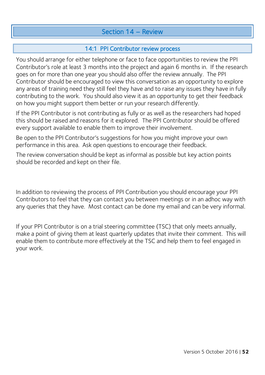# Section 14 – Review

# 14:1 PPI Contributor review process

You should arrange for either telephone or face to face opportunities to review the PPI Contributor's role at least 3 months into the project and again 6 months in. If the research goes on for more than one year you should also offer the review annually. The PPI Contributor should be encouraged to view this conversation as an opportunity to explore any areas of training need they still feel they have and to raise any issues they have in fully contributing to the work. You should also view it as an opportunity to get their feedback on how you might support them better or run your research differently.

If the PPI Contributor is not contributing as fully or as well as the researchers had hoped this should be raised and reasons for it explored. The PPI Contributor should be offered every support available to enable them to improve their involvement.

Be open to the PPI Contributor's suggestions for how you might improve your own performance in this area. Ask open questions to encourage their feedback.

The review conversation should be kept as informal as possible but key action points should be recorded and kept on their file.

In addition to reviewing the process of PPI Contribution you should encourage your PPI Contributors to feel that they can contact you between meetings or in an adhoc way with any queries that they have. Most contact can be done my email and can be very informal.

If your PPI Contributor is on a trial steering committee (TSC) that only meets annually, make a point of giving them at least quarterly updates that invite their comment. This will enable them to contribute more effectively at the TSC and help them to feel engaged in your work.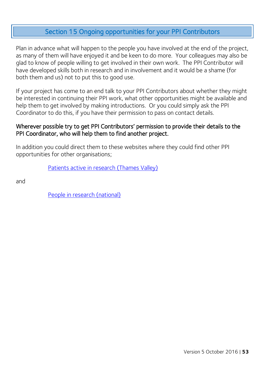# Section 15 Ongoing opportunities for your PPI Contributors

Plan in advance what will happen to the people you have involved at the end of the project, as many of them will have enjoyed it and be keen to do more. Your colleagues may also be glad to know of people willing to get involved in their own work. The PPI Contributor will have developed skills both in research and in involvement and it would be a shame (for both them and us) not to put this to good use.

If your project has come to an end talk to your PPI Contributors about whether they might be interested in continuing their PPI work, what other opportunities might be available and help them to get involved by making introductions. Or you could simply ask the PPI Coordinator to do this, if you have their permission to pass on contact details.

#### Wherever possible try to get PPI Contributors' permission to provide their details to the PPI Coordinator, who will help them to find another project.

In addition you could direct them to these websites where they could find other PPI opportunities for other organisations;

[Patients active in research \(Thames Valley\)](http://patientsactiveinresearch.org.uk/)

and

[People in research \(national\)](http://www.peopleinresearch.org/)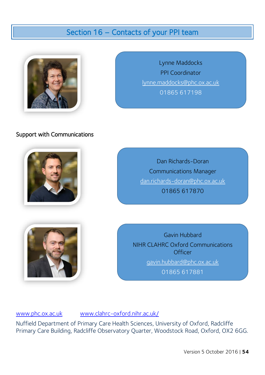# Section 16 – Contacts of your PPI team



Lynne Maddocks PPI Coordinator [lynne.maddocks@phc.ox.ac.uk](mailto:lynne.maddocks@phc.ox.ac.uk)  01865 617198

#### Support with Communications



Dan Richards-Doran Communications Manager [dan.richards-doran@phc.ox.ac.uk](mailto:dan.richards-doran@phc.ox.ac.uk) 01865 617870



Gavin Hubbard NIHR CLAHRC Oxford Communications **Officer** [gavin.hubbard@phc.ox.ac.uk](mailto:gavin.hubbard@phc.ox.ac.uk)

01865 617881

[www.phc.ox.ac.uk](http://www.phc.ox.ac.uk/) [www.clahrc-oxford.nihr.ac.uk/](http://www.clahrc-oxford.nihr.ac.uk/)

Nuffield Department of Primary Care Health Sciences, University of Oxford, Radcliffe Primary Care Building, Radcliffe Observatory Quarter, Woodstock Road, Oxford, OX2 6GG.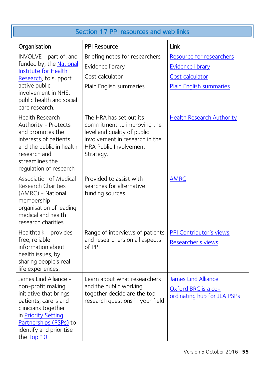| Section 17 PPI resources and web links                                                                                                                                                                               |                                                                                                                                                                       |                                                                                                          |
|----------------------------------------------------------------------------------------------------------------------------------------------------------------------------------------------------------------------|-----------------------------------------------------------------------------------------------------------------------------------------------------------------------|----------------------------------------------------------------------------------------------------------|
| Organisation                                                                                                                                                                                                         | <b>PPI Resource</b>                                                                                                                                                   | Link                                                                                                     |
| INVOLVE - part of, and<br>funded by, the National<br>Institute for Health<br>Research, to support<br>active public<br>involvement in NHS,<br>public health and social<br>care research.                              | Briefing notes for researchers<br>Evidence library<br>Cost calculator<br>Plain English summaries                                                                      | Resource for researchers<br><b>Evidence library</b><br>Cost calculator<br><b>Plain English summaries</b> |
| Health Research<br>Authority - Protects<br>and promotes the<br>interests of patients<br>and the public in health<br>research and<br>streamlines the<br>regulation of research                                        | The HRA has set out its<br>commitment to improving the<br>level and quality of public<br>involvement in research in the<br><b>HRA Public Involvement</b><br>Strategy. | <u>Health Research Authority</u>                                                                         |
| <b>Association of Medical</b><br><b>Research Charities</b><br>(AMRC) - National<br>membership<br>organisation of leading<br>medical and health<br>research charities                                                 | Provided to assist with<br>searches for alternative<br>funding sources.                                                                                               | <b>AMRC</b>                                                                                              |
| Healthtalk - provides<br>free, reliable<br>information about<br>health issues, by<br>sharing people's real-<br>life experiences.                                                                                     | Range of interviews of patients<br>and researchers on all aspects<br>of PPI                                                                                           | PPI Contributor's views<br>Researcher's views                                                            |
| James Lind Alliance -<br>non-profit making<br>initiative that brings<br>patients, carers and<br>clinicians together<br>in <b>Priority Setting</b><br>Partnerships (PSPs) to<br>identify and prioritise<br>the Top 10 | Learn about what researchers<br>and the public working<br>together decide are the top<br>research questions in your field                                             | <b>James Lind Alliance</b><br>Oxford BRC is a co-<br>ordinating hub for JLA PSPs                         |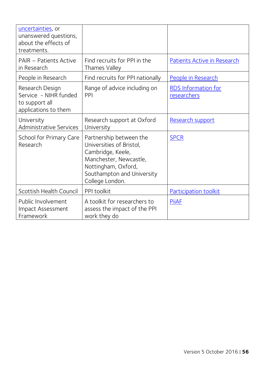| uncertainties, or<br>unanswered questions,<br>about the effects of<br>treatments.  |                                                                                                                                                                            |                                           |
|------------------------------------------------------------------------------------|----------------------------------------------------------------------------------------------------------------------------------------------------------------------------|-------------------------------------------|
| <b>PAIR - Patients Active</b><br>in Research                                       | Find recruits for PPI in the<br>Thames Valley                                                                                                                              | Patients Active in Research               |
| People in Research                                                                 | Find recruits for PPI nationally                                                                                                                                           | People in Research                        |
| Research Design<br>Service - NIHR funded<br>to support all<br>applications to them | Range of advice including on<br>PPI                                                                                                                                        | <b>RDS</b> Information for<br>researchers |
| University<br>Administrative Services                                              | Research support at Oxford<br>University                                                                                                                                   | Research support                          |
| School for Primary Care<br>Research                                                | Partnership between the<br>Universities of Bristol,<br>Cambridge, Keele,<br>Manchester, Newcastle,<br>Nottingham, Oxford,<br>Southampton and University<br>College London. | <b>SPCR</b>                               |
| Scottish Health Council                                                            | PPI toolkit                                                                                                                                                                | Participation toolkit                     |
| Public Involvement<br><b>Impact Assessment</b><br>Framework                        | A toolkit for researchers to<br>assess the impact of the PPI<br>work they do                                                                                               | <b>PiiAF</b>                              |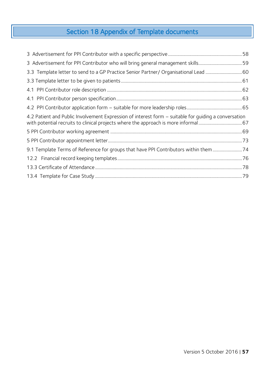# Section 18 Appendix of Template documents

| 3 Advertisement for PPI Contributor who will bring general management skills59                       |  |
|------------------------------------------------------------------------------------------------------|--|
|                                                                                                      |  |
|                                                                                                      |  |
|                                                                                                      |  |
|                                                                                                      |  |
|                                                                                                      |  |
| 4.2 Patient and Public Involvement Expression of interest form – suitable for quiding a conversation |  |
|                                                                                                      |  |
|                                                                                                      |  |
| 9.1 Template Terms of Reference for groups that have PPI Contributors within them74                  |  |
|                                                                                                      |  |
|                                                                                                      |  |
|                                                                                                      |  |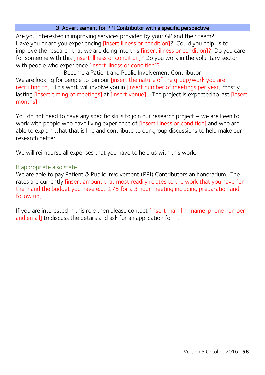#### 3 Advertisement for PPI Contributor with a specific perspective

<span id="page-57-0"></span>Are you interested in improving services provided by your GP and their team? Have you or are you experiencing *[insert illness or condition]?* Could you help us to improve the research that we are doing into this *[insert illness or condition]?* Do you care for someone with this [insert illness or condition]? Do you work in the voluntary sector with people who experience [insert illness or condition]?

Become a Patient and Public Involvement Contributor We are looking for people to join our *[insert the nature of the group/work you are* recruiting to]. This work will involve you in [insert number of meetings per year] mostly lasting [insert timing of meetings] at [insert venue]. The project is expected to last [insert months].

You do not need to have any specific skills to join our research project – we are keen to work with people who have living experience of [insert illness or condition] and who are able to explain what that is like and contribute to our group discussions to help make our research better.

We will reimburse all expenses that you have to help us with this work.

#### If appropriate also state

We are able to pay Patient & Public Involvement (PPI) Contributors an honorarium. The rates are currently [insert amount that most readily relates to the work that you have for them and the budget you have e.g. £75 for a 3 hour meeting including preparation and follow up].

If you are interested in this role then please contact [insert main link name, phone number and email] to discuss the details and ask for an application form.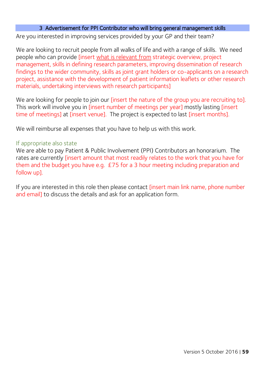#### 3 Advertisement for PPI Contributor who will bring general management skills

<span id="page-58-0"></span>Are you interested in improving services provided by your GP and their team?

We are looking to recruit people from all walks of life and with a range of skills. We need people who can provide [insert what is relevant from strategic overview, project management, skills in defining research parameters, improving dissemination of research findings to the wider community, skills as joint grant holders or co-applicants on a research project, assistance with the development of patient information leaflets or other research materials, undertaking interviews with research participants]

We are looking for people to join our [insert the nature of the group you are recruiting to]. This work will involve you in [insert number of meetings per year] mostly lasting [insert time of meetings] at [insert venue]. The project is expected to last [insert months].

We will reimburse all expenses that you have to help us with this work.

#### If appropriate also state

We are able to pay Patient & Public Involvement (PPI) Contributors an honorarium. The rates are currently *[insert amount that most readily relates to the work that you have for* them and the budget you have e.g. £75 for a 3 hour meeting including preparation and follow up].

If you are interested in this role then please contact [insert main link name, phone number and email] to discuss the details and ask for an application form.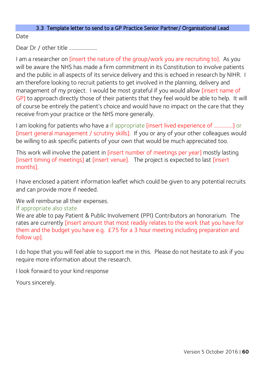#### 3.3 Template letter to send to a GP Practice Senior Partner/ Organisational Lead

<span id="page-59-0"></span>Date

Dear Dr / other title ....................

I am a researcher on *[insert the nature of the group/work you are recruiting to]*. As you will be aware the NHS has made a firm commitment in its Constitution to involve patients and the public in all aspects of its service delivery and this is echoed in research by NIHR. I am therefore looking to recruit patients to get involved in the planning, delivery and management of my project. I would be most grateful if you would allow [insert name of GP] to approach directly those of their patients that they feel would be able to help. It will of course be entirely the patient's choice and would have no impact on the care that they receive from your practice or the NHS more generally.

I am looking for patients who have a if appropriate [insert lived experience of …………..] or [insert general management / scrutiny skills]. If you or any of your other colleagues would be willing to ask specific patients of your own that would be much appreciated too.

This work will involve the patient in [insert number of meetings per year] mostly lasting [insert timing of meetings] at [insert venue]. The project is expected to last [insert months].

I have enclosed a patient information leaflet which could be given to any potential recruits and can provide more if needed.

We will reimburse all their expenses.

#### If appropriate also state

We are able to pay Patient & Public Involvement (PPI) Contributors an honorarium. The rates are currently [insert amount that most readily relates to the work that you have for them and the budget you have e.g. £75 for a 3 hour meeting including preparation and follow up].

I do hope that you will feel able to support me in this. Please do not hesitate to ask if you require more information about the research.

I look forward to your kind response

Yours sincerely.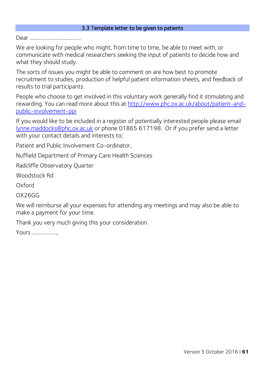#### 3.3 Template letter to be given to patients

<span id="page-60-0"></span>Dear ………………………………..

We are looking for people who might, from time to time, be able to meet with, or communicate with medical researchers seeking the input of patients to decide how and what they should study.

The sorts of issues you might be able to comment on are how best to promote recruitment to studies, production of helpful patient information sheets, and feedback of results to trial participants.

People who choose to get involved in this voluntary work generally find it stimulating and rewarding. You can read more about this at [http://www.phc.ox.ac.uk/about/patient-and](https://www.phc.ox.ac.uk/get-involved/ppi)[public-involvement-ppi](https://www.phc.ox.ac.uk/get-involved/ppi) 

If you would like to be included in a register of potentially interested people please email [lynne.maddocks@phc.ox.ac.uk](mailto:lynne.maddocks@phc.ox.ac.uk) or phone 01865 617198. Or if you prefer send a letter with your contact details and interests to;

Patient and Public Involvement Co-ordinator,

Nuffield Department of Primary Care Health Sciences

Radcliffe Observatory Quarter

Woodstock Rd

Oxford

OX26GG

We will reimburse all your expenses for attending any meetings and may also be able to make a payment for your time.

Thank you very much giving this your consideration.

Yours ………………,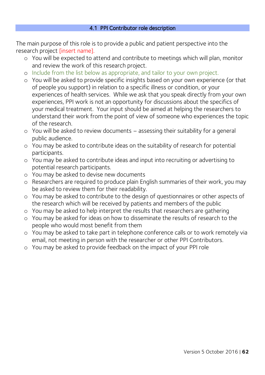#### 4.1 PPI Contributor role description

<span id="page-61-0"></span>The main purpose of this role is to provide a public and patient perspective into the research project [insert name].

- o You will be expected to attend and contribute to meetings which will plan, monitor and review the work of this research project.
- o Include from the list below as appropriate, and tailor to your own project.
- o You will be asked to provide specific insights based on your own experience (or that of people you support) in relation to a specific illness or condition, or your experiences of health services. While we ask that you speak directly from your own experiences, PPI work is not an opportunity for discussions about the specifics of your medical treatment. Your input should be aimed at helping the researchers to understand their work from the point of view of someone who experiences the topic of the research.
- o You will be asked to review documents assessing their suitability for a general public audience.
- o You may be asked to contribute ideas on the suitability of research for potential participants.
- o You may be asked to contribute ideas and input into recruiting or advertising to potential research participants.
- o You may be asked to devise new documents
- o Researchers are required to produce plain English summaries of their work, you may be asked to review them for their readability.
- o You may be asked to contribute to the design of questionnaires or other aspects of the research which will be received by patients and members of the public
- o You may be asked to help interpret the results that researchers are gathering
- o You may be asked for ideas on how to disseminate the results of research to the people who would most benefit from them
- o You may be asked to take part in telephone conference calls or to work remotely via email, not meeting in person with the researcher or other PPI Contributors.
- o You may be asked to provide feedback on the impact of your PPI role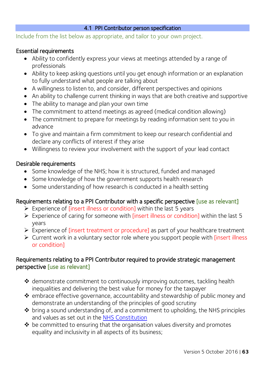#### 4.1 PPI Contributor person specification

<span id="page-62-0"></span>Include from the list below as appropriate, and tailor to your own project.

#### Essential requirements

- Ability to confidently express your views at meetings attended by a range of professionals
- Ability to keep asking questions until you get enough information or an explanation to fully understand what people are talking about
- A willingness to listen to, and consider, different perspectives and opinions
- An ability to challenge current thinking in ways that are both creative and supportive
- The ability to manage and plan your own time
- The commitment to attend meetings as agreed (medical condition allowing)
- The commitment to prepare for meetings by reading information sent to you in advance
- To give and maintain a firm commitment to keep our research confidential and declare any conflicts of interest if they arise
- Willingness to review your involvement with the support of your lead contact

#### Desirable requirements

- Some knowledge of the NHS; how it is structured, funded and managed
- Some knowledge of how the government supports health research
- Some understanding of how research is conducted in a health setting

#### Requirements relating to a PPI Contributor with a specific perspective [use as relevant]

- Experience of [insert illness or condition] within the last 5 years
- $\triangleright$  Experience of caring for someone with [insert illness or condition] within the last 5 years
- Experience of [insert treatment or procedure] as part of your healthcare treatment
- $\triangleright$  Current work in a voluntary sector role where you support people with [insert illness] or condition]

#### Requirements relating to a PPI Contributor required to provide strategic management perspective [use as relevant]

- \* demonstrate commitment to continuously improving outcomes, tackling health inequalities and delivering the best value for money for the taxpayer
- \* embrace effective governance, accountability and stewardship of public money and demonstrate an understanding of the principles of good scrutiny
- bring a sound understanding of, and a commitment to upholding, the NHS principles and values as set out in the [NHS Constitution](http://www.nhs.uk/choiceintheNHS/Rightsandpledges/NHSConstitution/Pages/Overview.aspx)
- $\triangle$  be committed to ensuring that the organisation values diversity and promotes equality and inclusivity in all aspects of its business;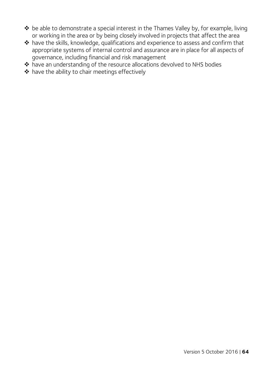- be able to demonstrate a special interest in the Thames Valley by, for example, living or working in the area or by being closely involved in projects that affect the area
- have the skills, knowledge, qualifications and experience to assess and confirm that appropriate systems of internal control and assurance are in place for all aspects of governance, including financial and risk management
- have an understanding of the resource allocations devolved to NHS bodies
- $\triangle$  have the ability to chair meetings effectively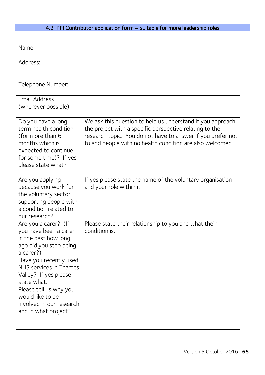# 4.2 PPI Contributor application form – suitable for more leadership roles

<span id="page-64-0"></span>

| Name:                                                                                                                                                      |                                                                                                                                                                                                                                                   |
|------------------------------------------------------------------------------------------------------------------------------------------------------------|---------------------------------------------------------------------------------------------------------------------------------------------------------------------------------------------------------------------------------------------------|
| Address:                                                                                                                                                   |                                                                                                                                                                                                                                                   |
| Telephone Number:                                                                                                                                          |                                                                                                                                                                                                                                                   |
| <b>Email Address</b><br>(wherever possible):                                                                                                               |                                                                                                                                                                                                                                                   |
| Do you have a long<br>term health condition<br>(for more than 6<br>months which is<br>expected to continue<br>for some time)? If yes<br>please state what? | We ask this question to help us understand if you approach<br>the project with a specific perspective relating to the<br>research topic. You do not have to answer if you prefer not<br>to and people with no health condition are also welcomed. |
| Are you applying<br>because you work for<br>the voluntary sector<br>supporting people with<br>a condition related to<br>our research?                      | If yes please state the name of the voluntary organisation<br>and your role within it                                                                                                                                                             |
| Are you a carer? (If<br>you have been a carer<br>in the past how long<br>ago did you stop being<br>a carer?)                                               | Please state their relationship to you and what their<br>condition is;                                                                                                                                                                            |
| Have you recently used<br>NHS services in Thames<br>Valley? If yes please<br>state what.                                                                   |                                                                                                                                                                                                                                                   |
| Please tell us why you<br>would like to be<br>involved in our research<br>and in what project?                                                             |                                                                                                                                                                                                                                                   |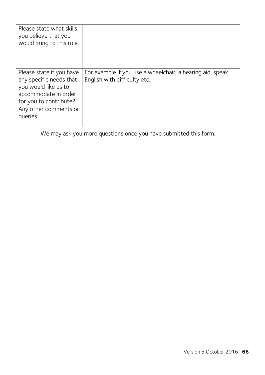| Please state what skills<br>you believe that you<br>would bring to this role.                                                 |                                                                                           |
|-------------------------------------------------------------------------------------------------------------------------------|-------------------------------------------------------------------------------------------|
| Please state if you have<br>any specific needs that<br>you would like us to<br>accommodate in order<br>for you to contribute? | For example if you use a wheelchair, a hearing aid, speak<br>English with difficulty etc. |
| Any other comments or<br>queries.                                                                                             |                                                                                           |
| We may ask you more questions once you have submitted this form.                                                              |                                                                                           |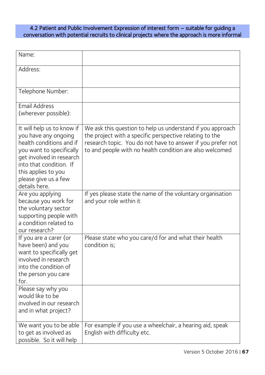#### <span id="page-66-0"></span>4.2 Patient and Public Involvement Expression of interest form – suitable for guiding a conversation with potential recruits to clinical projects where the approach is more informal

| Name:                                                                                                                                                                                                                             |                                                                                                                                                                                                                                                  |
|-----------------------------------------------------------------------------------------------------------------------------------------------------------------------------------------------------------------------------------|--------------------------------------------------------------------------------------------------------------------------------------------------------------------------------------------------------------------------------------------------|
| Address:                                                                                                                                                                                                                          |                                                                                                                                                                                                                                                  |
| Telephone Number:                                                                                                                                                                                                                 |                                                                                                                                                                                                                                                  |
| <b>Email Address</b><br>(wherever possible):                                                                                                                                                                                      |                                                                                                                                                                                                                                                  |
| It will help us to know if<br>you have any ongoing<br>health conditions and if<br>you want to specifically<br>get involved in research<br>into that condition. If<br>this applies to you<br>please give us a few<br>details here. | We ask this question to help us understand if you approach<br>the project with a specific perspective relating to the<br>research topic. You do not have to answer if you prefer not<br>to and people with no health condition are also welcomed |
| Are you applying<br>because you work for<br>the voluntary sector<br>supporting people with<br>a condition related to<br>our research?                                                                                             | If yes please state the name of the voluntary organisation<br>and your role within it                                                                                                                                                            |
| If you are a carer (or<br>have been) and you<br>want to specifically get<br>involved in research<br>into the condition of<br>the person you care<br>for.                                                                          | Please state who you care/d for and what their health<br>condition is;                                                                                                                                                                           |
| Please say why you<br>would like to be<br>involved in our research<br>and in what project?                                                                                                                                        |                                                                                                                                                                                                                                                  |
| We want you to be able<br>to get as involved as<br>possible. So it will help                                                                                                                                                      | For example if you use a wheelchair, a hearing aid, speak<br>English with difficulty etc.                                                                                                                                                        |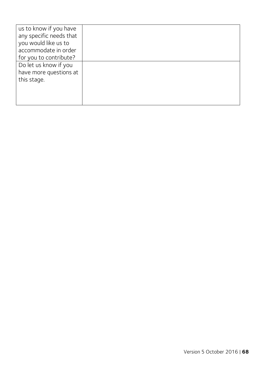| us to know if you have  |  |
|-------------------------|--|
| any specific needs that |  |
| you would like us to    |  |
| accommodate in order    |  |
| for you to contribute?  |  |
| Do let us know if you   |  |
| have more questions at  |  |
| this stage.             |  |
|                         |  |
|                         |  |
|                         |  |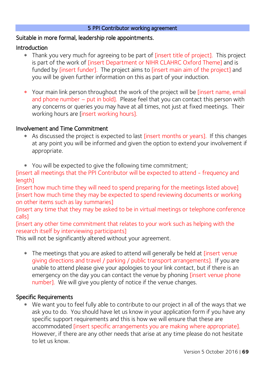#### 5 PPI Contributor working agreement

#### <span id="page-68-0"></span>Suitable in more formal, leadership role appointments.

#### Introduction

- Thank you very much for agreeing to be part of [insert title of project]. This project is part of the work of [insert Department or NIHR CLAHRC Oxford Theme] and is funded by [insert funder]. The project aims to [insert main aim of the project] and you will be given further information on this as part of your induction.
- \* Your main link person throughout the work of the project will be [insert name, email and phone number – put in bold]. Please feel that you can contact this person with any concerns or queries you may have at all times, not just at fixed meetings. Their working hours are [insert working hours].

#### Involvement and Time Commitment

- \* As discussed the project is expected to last [insert months or years]. If this changes at any point you will be informed and given the option to extend your involvement if appropriate.
- You will be expected to give the following time commitment;

[insert all meetings that the PPI Contributor will be expected to attend - frequency and length]

[insert how much time they will need to spend preparing for the meetings listed above] [insert how much time they may be expected to spend reviewing documents or working on other items such as lay summaries]

[insert any time that they may be asked to be in virtual meetings or telephone conference calls]

[insert any other time commitment that relates to your work such as helping with the research itself by interviewing participants]

This will not be significantly altered without your agreement.

\* The meetings that you are asked to attend will generally be held at *[insert venue* giving directions and travel / parking / public transport arrangements]. If you are unable to attend please give your apologies to your link contact, but if there is an emergency on the day you can contact the venue by phoning [insert venue phone number]. We will give you plenty of notice if the venue changes.

#### Specific Requirements

We want you to feel fully able to contribute to our project in all of the ways that we ask you to do. You should have let us know in your application form if you have any specific support requirements and this is how we will ensure that these are accommodated [insert specific arrangements you are making where appropriate]. However, if there are any other needs that arise at any time please do not hesitate to let us know.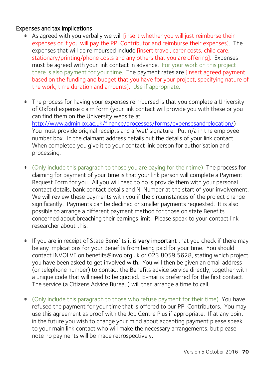#### Expenses and tax implications

- As agreed with you verbally we will [insert whether you will just reimburse their expenses or if you will pay the PPI Contributor and reimburse their expenses]. The expenses that will be reimbursed include [insert travel, carer costs, child care, stationary/printing/phone costs and any others that you are offering]. Expenses must be agreed with your link contact in advance. For your work on this project there is also payment for your time. The payment rates are *[insert agreed payment* based on the funding and budget that you have for your project, specifying nature of the work, time duration and amounts]. Use if appropriate.
- The process for having your expenses reimbursed is that you complete a University of Oxford expense claim form (your link contact will provide you with these or you can find them on the University website at [http://www.admin.ox.ac.uk/finance/processes/forms/expensesandrelocation/\)](http://www.admin.ox.ac.uk/finance/processes/forms/expensesandrelocation/) You must provide original receipts and a 'wet' signature. Put n/a in the employee number box. In the claimant address details put the details of your link contact. When completed you give it to your contact link person for authorisation and processing.
- (Only include this paragraph to those you are paying for their time) The process for claiming for payment of your time is that your link person will complete a Payment Request Form for you. All you will need to do is provide them with your personal contact details, bank contact details and NI Number at the start of your involvement. We will review these payments with you if the circumstances of the project change significantly. Payments can be declined or smaller payments requested. It is also possible to arrange a different payment method for those on state Benefits concerned about breaching their earnings limit. Please speak to your contact link researcher about this.
- \* If you are in receipt of State Benefits it is very important that you check if there may be any implications for your Benefits from being paid for your time. You should contact INVOLVE on benefits@invo.org.uk or 023 8059 5628, stating which project you have been asked to get involved with. You will then be given an email address (or telephone number) to contact the Benefits advice service directly, together with a unique code that will need to be quoted. E-mail is preferred for the first contact. The service (a Citizens Advice Bureau) will then arrange a time to call.
- (Only include this paragraph to those who refuse payment for their time) You have refused the payment for your time that is offered to our PPI Contributors. You may use this agreement as proof with the Job Centre Plus if appropriate. If at any point in the future you wish to change your mind about accepting payment please speak to your main link contact who will make the necessary arrangements, but please note no payments will be made retrospectively.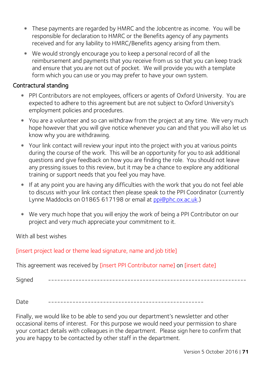- These payments are regarded by HMRC and the Jobcentre as income. You will be responsible for declaration to HMRC or the Benefits agency of any payments received and for any liability to HMRC/Benefits agency arising from them.
- We would strongly encourage you to keep a personal record of all the reimbursement and payments that you receive from us so that you can keep track and ensure that you are not out of pocket. We will provide you with a template form which you can use or you may prefer to have your own system.

# Contractural standing

- PPI Contributors are not employees, officers or agents of Oxford University. You are expected to adhere to this agreement but are not subject to Oxford University's employment policies and procedures.
- You are a volunteer and so can withdraw from the project at any time. We very much hope however that you will give notice whenever you can and that you will also let us know why you are withdrawing.
- Your link contact will review your input into the project with you at various points during the course of the work. This will be an opportunity for you to ask additional questions and give feedback on how you are finding the role. You should not leave any pressing issues to this review, but it may be a chance to explore any additional training or support needs that you feel you may have.
- If at any point you are having any difficulties with the work that you do not feel able to discuss with your link contact then please speak to the PPI Coordinator (currently Lynne Maddocks on 01865 617198 or email at [ppi@phc.ox.ac.uk.](mailto:ppi@phc.ox.ac.uk))
- We very much hope that you will enjoy the work of being a PPI Contributor on our project and very much appreciate your commitment to it.

With all best wishes

[insert project lead or theme lead signature, name and job title]

This agreement was received by [insert PPI Contributor name] on [insert date]

Signed -----------------------------------------------------------------

Date ---------------------------------------------------

Finally, we would like to be able to send you our department's newsletter and other occasional items of interest. For this purpose we would need your permission to share your contact details with colleagues in the department. Please sign here to confirm that you are happy to be contacted by other staff in the department.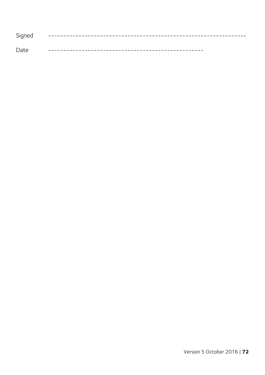| Signed |             |
|--------|-------------|
| Date   | ----------- |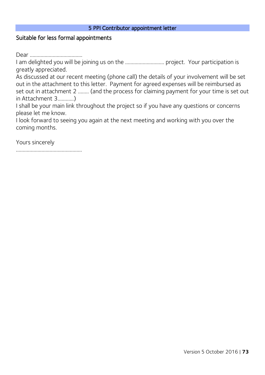#### 5 PPI Contributor appointment letter

### Suitable for less formal appointments

Dear …………………………………

I am delighted you will be joining us on the ……………………….. project. Your participation is greatly appreciated.

As discussed at our recent meeting (phone call) the details of your involvement will be set out in the attachment to this letter. Payment for agreed expenses will be reimbursed as set out in attachment 2 …….. (and the process for claiming payment for your time is set out in Attachment 3…………)

I shall be your main link throughout the project so if you have any questions or concerns please let me know.

I look forward to seeing you again at the next meeting and working with you over the coming months.

Yours sincerely

………………………………………………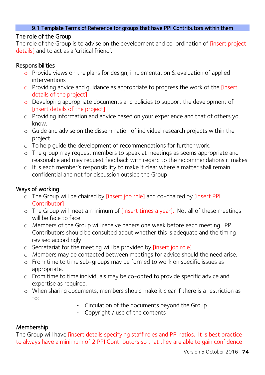### 9.1 Template Terms of Reference for groups that have PPI Contributors within them

## The role of the Group

The role of the Group is to advise on the development and co-ordination of [insert project details] and to act as a 'critical friend'.

## Responsibilities

- o Provide views on the plans for design, implementation & evaluation of applied interventions
- o Providing advice and quidance as appropriate to progress the work of the [insert details of the project]
- o Developing appropriate documents and policies to support the development of [insert details of the project]
- o Providing information and advice based on your experience and that of others you know.
- o Guide and advise on the dissemination of individual research projects within the project
- o To help guide the development of recommendations for further work.
- o The group may request members to speak at meetings as seems appropriate and reasonable and may request feedback with regard to the recommendations it makes.
- o It is each member's responsibility to make it clear where a matter shall remain confidential and not for discussion outside the Group

## Ways of working

- o The Group will be chaired by [insert job role] and co-chaired by [insert PPI Contributor]
- o The Group will meet a minimum of [insert times a year]. Not all of these meetings will be face to face.
- o Members of the Group will receive papers one week before each meeting. PPI Contributors should be consulted about whether this is adequate and the timing revised accordingly.
- o Secretariat for the meeting will be provided by [insert job role]
- o Members may be contacted between meetings for advice should the need arise.
- o From time to time sub-groups may be formed to work on specific issues as appropriate.
- o From time to time individuals may be co-opted to provide specific advice and expertise as required.
- o When sharing documents, members should make it clear if there is a restriction as to:
	- Circulation of the documents beyond the Group
	- Copyright / use of the contents

## Membership

The Group will have [insert details specifying staff roles and PPI ratios. It is best practice to always have a minimum of 2 PPI Contributors so that they are able to gain confidence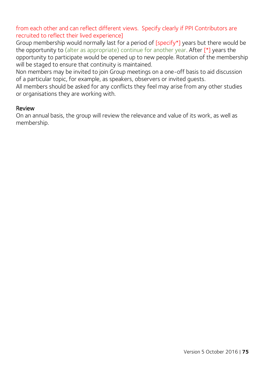from each other and can reflect different views. Specify clearly if PPI Contributors are recruited to reflect their lived experience]

Group membership would normally last for a period of [specify\*] years but there would be the opportunity to (alter as appropriate) continue for another year. After  $[*]$  years the opportunity to participate would be opened up to new people. Rotation of the membership will be staged to ensure that continuity is maintained.

Non members may be invited to join Group meetings on a one-off basis to aid discussion of a particular topic, for example, as speakers, observers or invited guests.

All members should be asked for any conflicts they feel may arise from any other studies or organisations they are working with.

### Review

On an annual basis, the group will review the relevance and value of its work, as well as membership.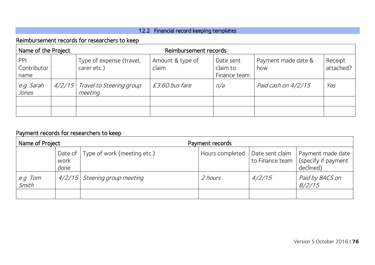# 12.2 Financial record keeping templates

# Reimbursement records for researchers to keep

| Name of the Project        |  | Reimbursement records                      |                           |                                       |                            |                      |  |  |
|----------------------------|--|--------------------------------------------|---------------------------|---------------------------------------|----------------------------|----------------------|--|--|
| PPI<br>Contributor<br>name |  | Type of expense (travel,<br>carer etc.)    | Amount & type of<br>claim | Date sent<br>claim to<br>Finance team | Payment made date &<br>how | Receipt<br>attached? |  |  |
| e.g Sarah<br><i>Jones</i>  |  | 4/2/15 Travel to Steering group<br>meeting | £3.60 bus fare            | n/a                                   | Paid cash on 4/2/15        | Yes                  |  |  |
|                            |  |                                            |                           |                                       |                            |                      |  |  |
|                            |  |                                            |                           |                                       |                            |                      |  |  |

# Payment records for researchers to keep

| Name of Project     |                         |                             | Payment records |                                    |                                                       |  |
|---------------------|-------------------------|-----------------------------|-----------------|------------------------------------|-------------------------------------------------------|--|
|                     | Date of<br>work<br>done | Type of work (meeting etc.) | Hours completed | Date sent claim<br>to Finance team | Payment made date<br>(specify if payment<br>declined) |  |
| Tom<br>e.g<br>Smith | 4/2/15                  | Steering group meeting      | 2 hours         | 4/2/15                             | Paid by BACS on<br>8/2/15                             |  |
|                     |                         |                             |                 |                                    |                                                       |  |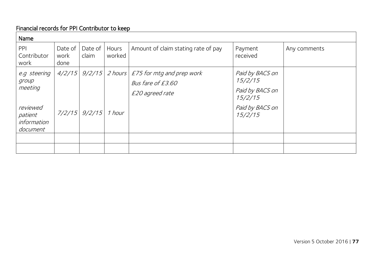# Financial records for PPI Contributor to keep

| Name                                                                               |                         |                  |                 |                                                                                                    |                                                                                        |              |  |
|------------------------------------------------------------------------------------|-------------------------|------------------|-----------------|----------------------------------------------------------------------------------------------------|----------------------------------------------------------------------------------------|--------------|--|
| PPI<br>Contributor<br>work                                                         | Date of<br>work<br>done | Date of<br>claim | Hours<br>worked | Amount of claim stating rate of pay                                                                | Payment<br>received                                                                    | Any comments |  |
| e.g steering<br>group<br>meeting<br>reviewed<br>patient<br>information<br>document |                         | 7/2/15 9/2/15    | 1 hour          | $4/2/15$ 9/2/15 2 hours $\left $ £75 for mtg and prep work<br>Bus fare of £3.60<br>£20 agreed rate | Paid by BACS on<br>15/2/15<br>Paid by BACS on<br>15/2/15<br>Paid by BACS on<br>15/2/15 |              |  |
|                                                                                    |                         |                  |                 |                                                                                                    |                                                                                        |              |  |
|                                                                                    |                         |                  |                 |                                                                                                    |                                                                                        |              |  |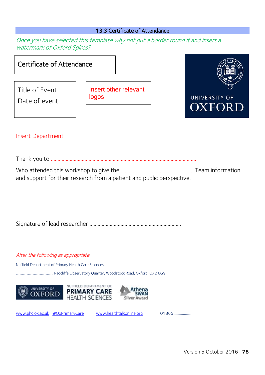#### 13.3 Certificate of Attendance

Once you have selected this template why not put a border round it and insert a watermark of Oxford Spires?





#### Insert Department

Thank you to ………………………………………………………………………………………………

Who attended this workshop to give the ……………………………………………… Team information and support for their research from a patient and public perspective.

Signature of lead researcher …………………………………………………………..

#### Alter the following as appropriate

Nuffield Department of Primary Health Care Sciences

……………………………………, Radcliffe Observatory Quarter, Woodstock Road, Oxford, OX2 6GG







[www.phc.ox.ac.uk](http://www.phc.ox.ac.uk/) | [@OxPrimaryCare](http://www.twitter.com/oxprimarycare) [www.healthtalkonline.org](http://www.healthtalkonline.org/) 01865 ………………….